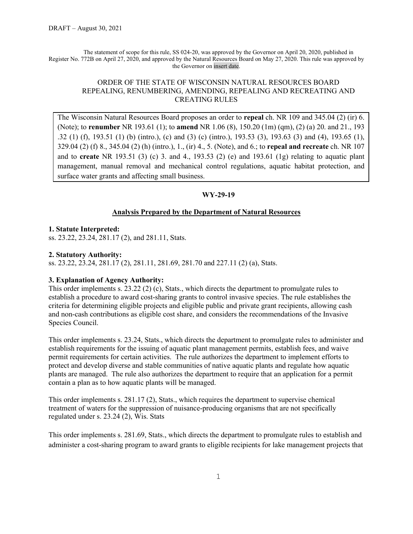The statement of scope for this rule, SS 024-20, was approved by the Governor on April 20, 2020, published in Register No. 772B on April 27, 2020, and approved by the Natural Resources Board on May 27, 2020. This rule was approved by the Governor on insert date.

## ORDER OF THE STATE OF WISCONSIN NATURAL RESOURCES BOARD REPEALING, RENUMBERING, AMENDING, REPEALING AND RECREATING AND CREATING RULES

The Wisconsin Natural Resources Board proposes an order to **repeal** ch. NR 109 and 345.04 (2) (ir) 6. (Note); to **renumber** NR 193.61 (1); to **amend** NR 1.06 (8), 150.20 (1m) (qm), (2) (a) 20. and 21., 193 .32 (1) (f), 193.51 (1) (b) (intro.), (c) and (3) (c) (intro.), 193.53 (3), 193.63 (3) and (4), 193.65 (1), 329.04 (2) (f) 8., 345.04 (2) (h) (intro.), 1., (ir) 4., 5. (Note), and 6.; to **repeal and recreate** ch. NR 107 and to **create** NR 193.51 (3) (c) 3. and 4., 193.53 (2) (e) and 193.61 (1g) relating to aquatic plant management, manual removal and mechanical control regulations, aquatic habitat protection, and surface water grants and affecting small business.

## **WY-29-19**

## **Analysis Prepared by the Department of Natural Resources**

## **1. Statute Interpreted:**

ss. 23.22, 23.24, 281.17 (2), and 281.11, Stats.

## **2. Statutory Authority:**

ss. 23.22, 23.24, 281.17 (2), 281.11, 281.69, 281.70 and 227.11 (2) (a), Stats.

## **3. Explanation of Agency Authority:**

This order implements s. 23.22 (2) (c), Stats., which directs the department to promulgate rules to establish a procedure to award cost-sharing grants to control invasive species. The rule establishes the criteria for determining eligible projects and eligible public and private grant recipients, allowing cash and non-cash contributions as eligible cost share, and considers the recommendations of the Invasive Species Council.

This order implements s. 23.24, Stats., which directs the department to promulgate rules to administer and establish requirements for the issuing of aquatic plant management permits, establish fees, and waive permit requirements for certain activities. The rule authorizes the department to implement efforts to protect and develop diverse and stable communities of native aquatic plants and regulate how aquatic plants are managed. The rule also authorizes the department to require that an application for a permit contain a plan as to how aquatic plants will be managed.

This order implements s. 281.17 (2), Stats., which requires the department to supervise chemical treatment of waters for the suppression of nuisance-producing organisms that are not specifically regulated under s. 23.24 (2), Wis. Stats

This order implements s. 281.69, Stats., which directs the department to promulgate rules to establish and administer a cost-sharing program to award grants to eligible recipients for lake management projects that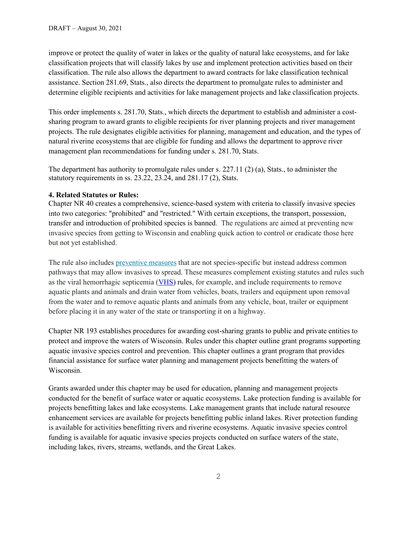improve or protect the quality of water in lakes or the quality of natural lake ecosystems, and for lake classification projects that will classify lakes by use and implement protection activities based on their classification. The rule also allows the department to award contracts for lake classification technical assistance. Section 281.69, Stats., also directs the department to promulgate rules to administer and determine eligible recipients and activities for lake management projects and lake classification projects.

This order implements s. 281.70, Stats., which directs the department to establish and administer a costsharing program to award grants to eligible recipients for river planning projects and river management projects. The rule designates eligible activities for planning, management and education, and the types of natural riverine ecosystems that are eligible for funding and allows the department to approve river management plan recommendations for funding under s. 281.70, Stats.

The department has authority to promulgate rules under s. 227.11 (2) (a), Stats., to administer the statutory requirements in ss. 23.22, 23.24, and 281.17 (2), Stats.

## **4. Related Statutes or Rules:**

Chapter NR 40 creates a comprehensive, science-based system with criteria to classify invasive species into two categories: "prohibited" and "restricted." With certain exceptions, the transport, possession, transfer and introduction of prohibited species is banned. The regulations are aimed at preventing new invasive species from getting to Wisconsin and enabling quick action to control or eradicate those here but not yet established.

The rule also includes [preventive measures](https://dnr.wisconsin.gov/topic/Invasives/prevention.html) that are not species-specific but instead address common pathways that may allow invasives to spread. These measures complement existing statutes and rules such as the viral hemorrhagic septicemia [\(VHS\)](https://dnr.wisconsin.gov/topic/Fishing/vhs) rules, for example, and include requirements to remove aquatic plants and animals and drain water from vehicles, boats, trailers and equipment upon removal from the water and to remove aquatic plants and animals from any vehicle, boat, trailer or equipment before placing it in any water of the state or transporting it on a highway.

Chapter NR 193 establishes procedures for awarding cost-sharing grants to public and private entities to protect and improve the waters of Wisconsin. Rules under this chapter outline grant programs supporting aquatic invasive species control and prevention. This chapter outlines a grant program that provides financial assistance for surface water planning and management projects benefitting the waters of Wisconsin.

Grants awarded under this chapter may be used for education, planning and management projects conducted for the benefit of surface water or aquatic ecosystems. Lake protection funding is available for projects benefitting lakes and lake ecosystems. Lake management grants that include natural resource enhancement services are available for projects benefitting public inland lakes. River protection funding is available for activities benefitting rivers and riverine ecosystems. Aquatic invasive species control funding is available for aquatic invasive species projects conducted on surface waters of the state, including lakes, rivers, streams, wetlands, and the Great Lakes.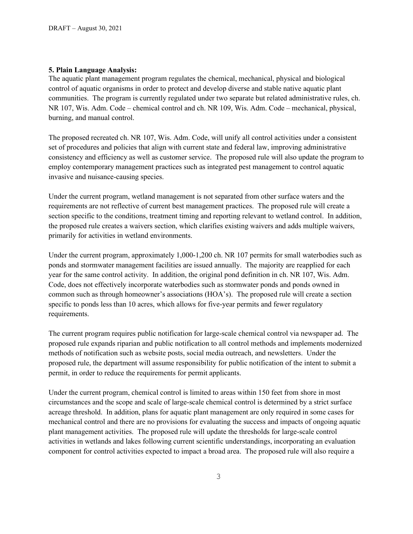## **5. Plain Language Analysis:**

The aquatic plant management program regulates the chemical, mechanical, physical and biological control of aquatic organisms in order to protect and develop diverse and stable native aquatic plant communities. The program is currently regulated under two separate but related administrative rules, ch. NR 107, Wis. Adm. Code – chemical control and ch. NR 109, Wis. Adm. Code – mechanical, physical, burning, and manual control.

The proposed recreated ch. NR 107, Wis. Adm. Code, will unify all control activities under a consistent set of procedures and policies that align with current state and federal law, improving administrative consistency and efficiency as well as customer service. The proposed rule will also update the program to employ contemporary management practices such as integrated pest management to control aquatic invasive and nuisance-causing species.

Under the current program, wetland management is not separated from other surface waters and the requirements are not reflective of current best management practices. The proposed rule will create a section specific to the conditions, treatment timing and reporting relevant to wetland control. In addition, the proposed rule creates a waivers section, which clarifies existing waivers and adds multiple waivers, primarily for activities in wetland environments.

Under the current program, approximately 1,000-1,200 ch. NR 107 permits for small waterbodies such as ponds and stormwater management facilities are issued annually. The majority are reapplied for each year for the same control activity. In addition, the original pond definition in ch. NR 107, Wis. Adm. Code, does not effectively incorporate waterbodies such as stormwater ponds and ponds owned in common such as through homeowner's associations (HOA's). The proposed rule will create a section specific to ponds less than 10 acres, which allows for five-year permits and fewer regulatory requirements.

The current program requires public notification for large-scale chemical control via newspaper ad. The proposed rule expands riparian and public notification to all control methods and implements modernized methods of notification such as website posts, social media outreach, and newsletters. Under the proposed rule, the department will assume responsibility for public notification of the intent to submit a permit, in order to reduce the requirements for permit applicants.

Under the current program, chemical control is limited to areas within 150 feet from shore in most circumstances and the scope and scale of large-scale chemical control is determined by a strict surface acreage threshold. In addition, plans for aquatic plant management are only required in some cases for mechanical control and there are no provisions for evaluating the success and impacts of ongoing aquatic plant management activities. The proposed rule will update the thresholds for large-scale control activities in wetlands and lakes following current scientific understandings, incorporating an evaluation component for control activities expected to impact a broad area. The proposed rule will also require a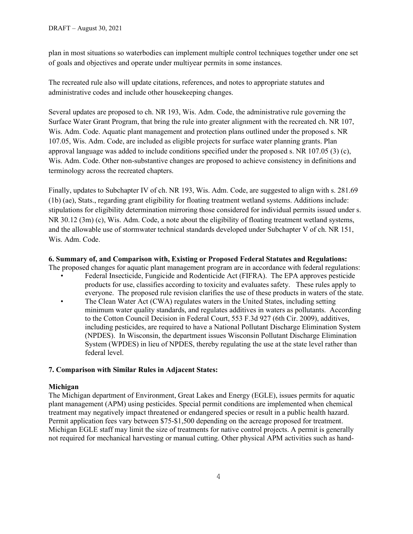plan in most situations so waterbodies can implement multiple control techniques together under one set of goals and objectives and operate under multiyear permits in some instances.

The recreated rule also will update citations, references, and notes to appropriate statutes and administrative codes and include other housekeeping changes.

Several updates are proposed to ch. NR 193, Wis. Adm. Code, the administrative rule governing the Surface Water Grant Program, that bring the rule into greater alignment with the recreated ch. NR 107, Wis. Adm. Code. Aquatic plant management and protection plans outlined under the proposed s. NR 107.05, Wis. Adm. Code, are included as eligible projects for surface water planning grants. Plan approval language was added to include conditions specified under the proposed s. NR 107.05 (3) (c), Wis. Adm. Code. Other non-substantive changes are proposed to achieve consistency in definitions and terminology across the recreated chapters.

Finally, updates to Subchapter IV of ch. NR 193, Wis. Adm. Code, are suggested to align with s. 281.69 (1b) (ae), Stats., regarding grant eligibility for floating treatment wetland systems. Additions include: stipulations for eligibility determination mirroring those considered for individual permits issued under s. NR 30.12 (3m) (c), Wis. Adm. Code, a note about the eligibility of floating treatment wetland systems, and the allowable use of stormwater technical standards developed under Subchapter V of ch. NR 151, Wis. Adm. Code.

## **6. Summary of, and Comparison with, Existing or Proposed Federal Statutes and Regulations:**

The proposed changes for aquatic plant management program are in accordance with federal regulations: • Federal Insecticide, Fungicide and Rodenticide Act (FIFRA). The EPA approves pesticide products for use, classifies according to toxicity and evaluates safety. These rules apply to everyone. The proposed rule revision clarifies the use of these products in waters of the state.

The Clean Water Act (CWA) regulates waters in the United States, including setting minimum water quality standards, and regulates additives in waters as pollutants. According to the Cotton Council Decision in Federal Court, 553 F.3d 927 (6th Cir. 2009), additives, including pesticides, are required to have a National Pollutant Discharge Elimination System (NPDES). In Wisconsin, the department issues Wisconsin Pollutant Discharge Elimination System (WPDES) in lieu of NPDES, thereby regulating the use at the state level rather than federal level.

## **7. Comparison with Similar Rules in Adjacent States:**

## **Michigan**

The Michigan department of Environment, Great Lakes and Energy (EGLE), issues permits for aquatic plant management (APM) using pesticides. Special permit conditions are implemented when chemical treatment may negatively impact threatened or endangered species or result in a public health hazard. Permit application fees vary between \$75-\$1,500 depending on the acreage proposed for treatment. Michigan EGLE staff may limit the size of treatments for native control projects. A permit is generally not required for mechanical harvesting or manual cutting. Other physical APM activities such as hand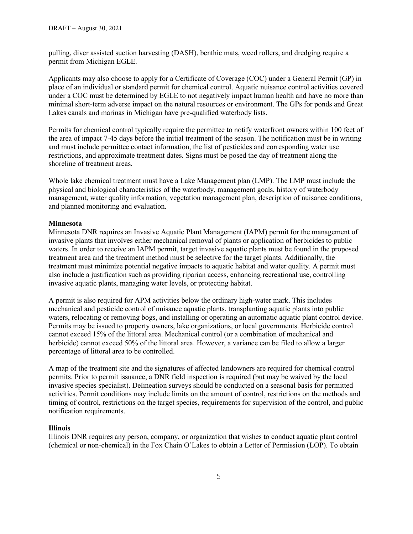pulling, diver assisted suction harvesting (DASH), benthic mats, weed rollers, and dredging require a permit from Michigan EGLE.

Applicants may also choose to apply for a Certificate of Coverage (COC) under a General Permit (GP) in place of an individual or standard permit for chemical control. Aquatic nuisance control activities covered under a COC must be determined by EGLE to not negatively impact human health and have no more than minimal short-term adverse impact on the natural resources or environment. The GPs for ponds and Great Lakes canals and marinas in Michigan have pre-qualified waterbody lists.

Permits for chemical control typically require the permittee to notify waterfront owners within 100 feet of the area of impact 7-45 days before the initial treatment of the season. The notification must be in writing and must include permittee contact information, the list of pesticides and corresponding water use restrictions, and approximate treatment dates. Signs must be posed the day of treatment along the shoreline of treatment areas.

Whole lake chemical treatment must have a Lake Management plan (LMP). The LMP must include the physical and biological characteristics of the waterbody, management goals, history of waterbody management, water quality information, vegetation management plan, description of nuisance conditions, and planned monitoring and evaluation.

## **Minnesota**

Minnesota DNR requires an Invasive Aquatic Plant Management (IAPM) permit for the management of invasive plants that involves either mechanical removal of plants or application of herbicides to public waters. In order to receive an IAPM permit, target invasive aquatic plants must be found in the proposed treatment area and the treatment method must be selective for the target plants. Additionally, the treatment must minimize potential negative impacts to aquatic habitat and water quality. A permit must also include a justification such as providing riparian access, enhancing recreational use, controlling invasive aquatic plants, managing water levels, or protecting habitat.

A permit is also required for APM activities below the ordinary high-water mark. This includes mechanical and pesticide control of nuisance aquatic plants, transplanting aquatic plants into public waters, relocating or removing bogs, and installing or operating an automatic aquatic plant control device. Permits may be issued to property owners, lake organizations, or local governments. Herbicide control cannot exceed 15% of the littoral area. Mechanical control (or a combination of mechanical and herbicide) cannot exceed 50% of the littoral area. However, a variance can be filed to allow a larger percentage of littoral area to be controlled.

A map of the treatment site and the signatures of affected landowners are required for chemical control permits. Prior to permit issuance, a DNR field inspection is required (but may be waived by the local invasive species specialist). Delineation surveys should be conducted on a seasonal basis for permitted activities. Permit conditions may include limits on the amount of control, restrictions on the methods and timing of control, restrictions on the target species, requirements for supervision of the control, and public notification requirements.

#### **Illinois**

Illinois DNR requires any person, company, or organization that wishes to conduct aquatic plant control (chemical or non-chemical) in the Fox Chain O'Lakes to obtain a Letter of Permission (LOP). To obtain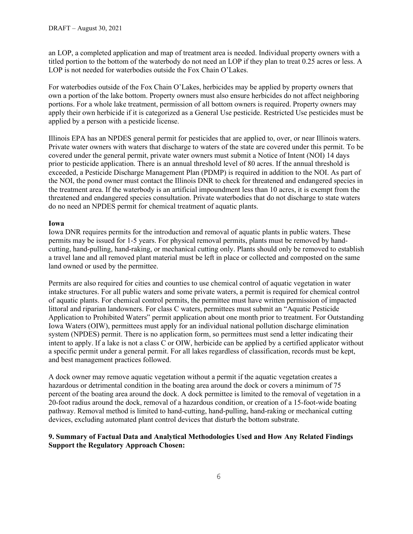an LOP, a completed application and map of treatment area is needed. Individual property owners with a titled portion to the bottom of the waterbody do not need an LOP if they plan to treat 0.25 acres or less. A LOP is not needed for waterbodies outside the Fox Chain O'Lakes.

For waterbodies outside of the Fox Chain O'Lakes, herbicides may be applied by property owners that own a portion of the lake bottom. Property owners must also ensure herbicides do not affect neighboring portions. For a whole lake treatment, permission of all bottom owners is required. Property owners may apply their own herbicide if it is categorized as a General Use pesticide. Restricted Use pesticides must be applied by a person with a pesticide license.

Illinois EPA has an NPDES general permit for pesticides that are applied to, over, or near Illinois waters. Private water owners with waters that discharge to waters of the state are covered under this permit. To be covered under the general permit, private water owners must submit a Notice of Intent (NOI) 14 days prior to pesticide application. There is an annual threshold level of 80 acres. If the annual threshold is exceeded, a Pesticide Discharge Management Plan (PDMP) is required in addition to the NOI. As part of the NOI, the pond owner must contact the Illinois DNR to check for threatened and endangered species in the treatment area. If the waterbody is an artificial impoundment less than 10 acres, it is exempt from the threatened and endangered species consultation. Private waterbodies that do not discharge to state waters do no need an NPDES permit for chemical treatment of aquatic plants.

## **Iowa**

Iowa DNR requires permits for the introduction and removal of aquatic plants in public waters. These permits may be issued for 1-5 years. For physical removal permits, plants must be removed by handcutting, hand-pulling, hand-raking, or mechanical cutting only. Plants should only be removed to establish a travel lane and all removed plant material must be left in place or collected and composted on the same land owned or used by the permittee.

Permits are also required for cities and counties to use chemical control of aquatic vegetation in water intake structures. For all public waters and some private waters, a permit is required for chemical control of aquatic plants. For chemical control permits, the permittee must have written permission of impacted littoral and riparian landowners. For class C waters, permittees must submit an "Aquatic Pesticide Application to Prohibited Waters" permit application about one month prior to treatment. For Outstanding Iowa Waters (OIW), permittees must apply for an individual national pollution discharge elimination system (NPDES) permit. There is no application form, so permittees must send a letter indicating their intent to apply. If a lake is not a class C or OIW, herbicide can be applied by a certified applicator without a specific permit under a general permit. For all lakes regardless of classification, records must be kept, and best management practices followed.

A dock owner may remove aquatic vegetation without a permit if the aquatic vegetation creates a hazardous or detrimental condition in the boating area around the dock or covers a minimum of 75 percent of the boating area around the dock. A dock permittee is limited to the removal of vegetation in a 20-foot radius around the dock, removal of a hazardous condition, or creation of a 15-foot-wide boating pathway. Removal method is limited to hand-cutting, hand-pulling, hand-raking or mechanical cutting devices, excluding automated plant control devices that disturb the bottom substrate.

## **9. Summary of Factual Data and Analytical Methodologies Used and How Any Related Findings Support the Regulatory Approach Chosen:**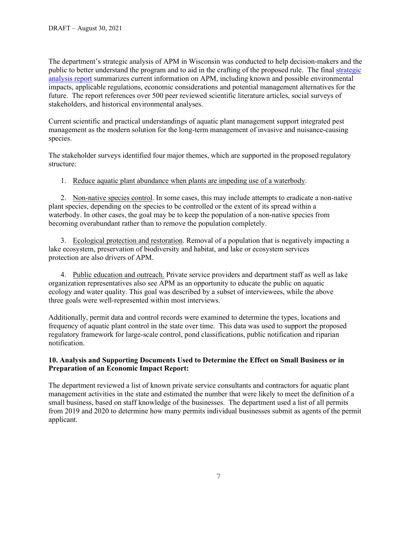The department's strategic analysis of APM in Wisconsin was conducted to help decision-makers and the public to better understand the program and to aid in the crafting of the proposed rule. The final [strategic](https://widnr.widen.net/s/pjvlt9khp8/apmsa_final_2019-06-14)  [analysis report](https://widnr.widen.net/s/pjvlt9khp8/apmsa_final_2019-06-14) summarizes current information on APM, including known and possible environmental impacts, applicable regulations, economic considerations and potential management alternatives for the future. The report references over 500 peer reviewed scientific literature articles, social surveys of stakeholders, and historical environmental analyses.

Current scientific and practical understandings of aquatic plant management support integrated pest management as the modern solution for the long-term management of invasive and nuisance-causing species.

The stakeholder surveys identified four major themes, which are supported in the proposed regulatory structure:

1. Reduce aquatic plant abundance when plants are impeding use of a waterbody.

2. Non-native species control. In some cases, this may include attempts to eradicate a non-native plant species, depending on the species to be controlled or the extent of its spread within a waterbody. In other cases, the goal may be to keep the population of a non-native species from becoming overabundant rather than to remove the population completely.

3. Ecological protection and restoration. Removal of a population that is negatively impacting a lake ecosystem, preservation of biodiversity and habitat, and lake or ecosystem services protection are also drivers of APM.

4. Public education and outreach. Private service providers and department staff as well as lake organization representatives also see APM as an opportunity to educate the public on aquatic ecology and water quality. This goal was described by a subset of interviewees, while the above three goals were well-represented within most interviews.

Additionally, permit data and control records were examined to determine the types, locations and frequency of aquatic plant control in the state over time. This data was used to support the proposed regulatory framework for large-scale control, pond classifications, public notification and riparian notification.

## **10. Analysis and Supporting Documents Used to Determine the Effect on Small Business or in Preparation of an Economic Impact Report:**

The department reviewed a list of known private service consultants and contractors for aquatic plant management activities in the state and estimated the number that were likely to meet the definition of a small business, based on staff knowledge of the businesses. The department used a list of all permits from 2019 and 2020 to determine how many permits individual businesses submit as agents of the permit applicant.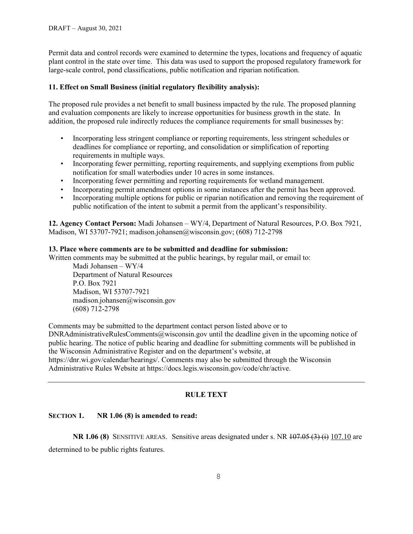Permit data and control records were examined to determine the types, locations and frequency of aquatic plant control in the state over time. This data was used to support the proposed regulatory framework for large-scale control, pond classifications, public notification and riparian notification.

## **11. Effect on Small Business (initial regulatory flexibility analysis):**

The proposed rule provides a net benefit to small business impacted by the rule. The proposed planning and evaluation components are likely to increase opportunities for business growth in the state. In addition, the proposed rule indirectly reduces the compliance requirements for small businesses by:

- Incorporating less stringent compliance or reporting requirements, less stringent schedules or deadlines for compliance or reporting, and consolidation or simplification of reporting requirements in multiple ways.
- Incorporating fewer permitting, reporting requirements, and supplying exemptions from public notification for small waterbodies under 10 acres in some instances.
- Incorporating fewer permitting and reporting requirements for wetland management.
- Incorporating permit amendment options in some instances after the permit has been approved.
- Incorporating multiple options for public or riparian notification and removing the requirement of public notification of the intent to submit a permit from the applicant's responsibility.

**12. Agency Contact Person:** Madi Johansen – WY/4, Department of Natural Resources, P.O. Box 7921, Madison, WI 53707-7921; madison.johansen@wisconsin.gov; (608) 712-2798

#### **13. Place where comments are to be submitted and deadline for submission:**

Written comments may be submitted at the public hearings, by regular mail, or email to:

Madi Johansen – WY/4 Department of Natural Resources P.O. Box 7921 Madison, WI 53707-7921 madison.johansen@wisconsin.gov (608) 712-2798

Comments may be submitted to the department contact person listed above or to DNRAdministrativeRulesComments@wisconsin.gov until the deadline given in the upcoming notice of public hearing. The notice of public hearing and deadline for submitting comments will be published in the Wisconsin Administrative Register and on the department's website, at https://dnr.wi.gov/calendar/hearings/. Comments may also be submitted through the Wisconsin Administrative Rules Website at https://docs.legis.wisconsin.gov/code/chr/active.

## **RULE TEXT**

#### **SECTION 1. NR 1.06 (8) is amended to read:**

**NR 1.06 (8)** SENSITIVE AREAS. Sensitive areas designated under s. NR  $\frac{107.05}{3}$  (i) 107.10 are determined to be public rights features.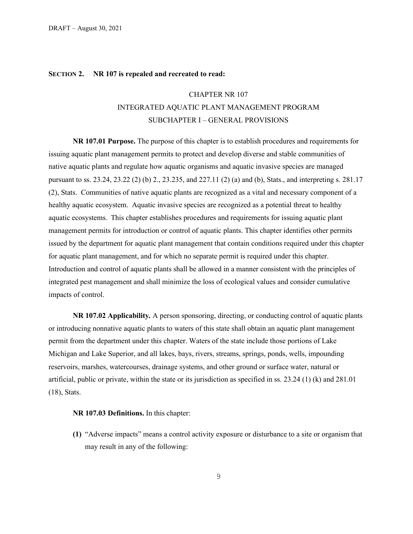## **SECTION 2. NR 107 is repealed and recreated to read:**

## CHAPTER NR 107

# INTEGRATED AQUATIC PLANT MANAGEMENT PROGRAM SUBCHAPTER I – GENERAL PROVISIONS

**NR 107.01 Purpose.** The purpose of this chapter is to establish procedures and requirements for issuing aquatic plant management permits to protect and develop diverse and stable communities of native aquatic plants and regulate how aquatic organisms and aquatic invasive species are managed pursuant to ss. 23.24, 23.22 (2) (b) 2., [23.235,](http://docs.legis.wisconsin.gov/document/statutes/23.235) and 227.11 (2) (a) and (b), Stats., and interpreting s. 281.17 (2), Stats. Communities of native aquatic plants are recognized as a vital and necessary component of a healthy aquatic ecosystem. Aquatic invasive species are recognized as a potential threat to healthy aquatic ecosystems. This chapter establishes procedures and requirements for issuing aquatic plant management permits for introduction or control of aquatic plants. This chapter identifies other permits issued by the department for aquatic plant management that contain conditions required under this chapter for aquatic plant management, and for which no separate permit is required under this chapter. Introduction and control of aquatic plants shall be allowed in a manner consistent with the principles of integrated pest management and shall minimize the loss of ecological values and consider cumulative impacts of control.

**NR 107.02 Applicability***.* A person sponsoring, directing, or conducting control of aquatic plants or introducing nonnative aquatic plants to waters of this state shall obtain an aquatic plant management permit from the department under this chapter. Waters of the state include those portions of Lake Michigan and Lake Superior, and all lakes, bays, rivers, streams, springs, ponds, wells, impounding reservoirs, marshes, watercourses, drainage systems, and other ground or surface water, natural or artificial, public or private, within the state or its jurisdiction as specified in ss. 23.24 (1) (k) and 281.01 (18), Stats.

#### **NR 107.03 Definitions.** In this chapter:

**(1)** "Adverse impacts" means a control activity exposure or disturbance to a site or organism that may result in any of the following: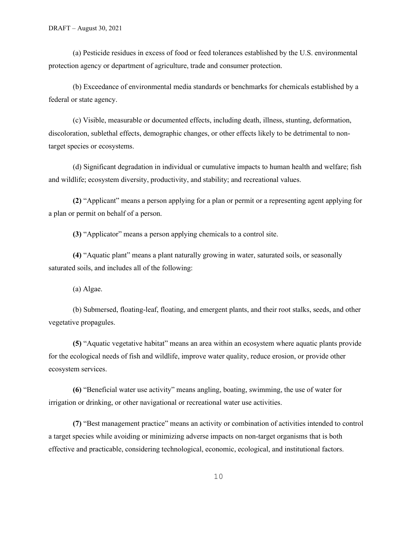(a) Pesticide residues in excess of food or feed tolerances established by the U.S. environmental protection agency or department of agriculture, trade and consumer protection.

(b) Exceedance of environmental media standards or benchmarks for chemicals established by a federal or state agency.

(c) Visible, measurable or documented effects, including death, illness, stunting, deformation, discoloration, sublethal effects, demographic changes, or other effects likely to be detrimental to nontarget species or ecosystems.

(d) Significant degradation in individual or cumulative impacts to human health and welfare; fish and wildlife; ecosystem diversity, productivity, and stability; and recreational values.

**(2)** "Applicant" means a person applying for a plan or permit or a representing agent applying for a plan or permit on behalf of a person.

**(3)** "Applicator" means a person applying chemicals to a control site.

**(4)** "Aquatic plant" means a plant naturally growing in water, saturated soils, or seasonally saturated soils, and includes all of the following:

(a) Algae.

(b) Submersed, floating-leaf, floating, and emergent plants, and their root stalks, seeds, and other vegetative propagules.

**(5)** "Aquatic vegetative habitat" means an area within an ecosystem where aquatic plants provide for the ecological needs of fish and wildlife, improve water quality, reduce erosion, or provide other ecosystem services.

**(6)** "Beneficial water use activity" means angling, boating, swimming, the use of water for irrigation or drinking, or other navigational or recreational water use activities.

**(7)** "Best management practice" means an activity or combination of activities intended to control a target species while avoiding or minimizing adverse impacts on non-target organisms that is both effective and practicable, considering technological, economic, ecological, and institutional factors.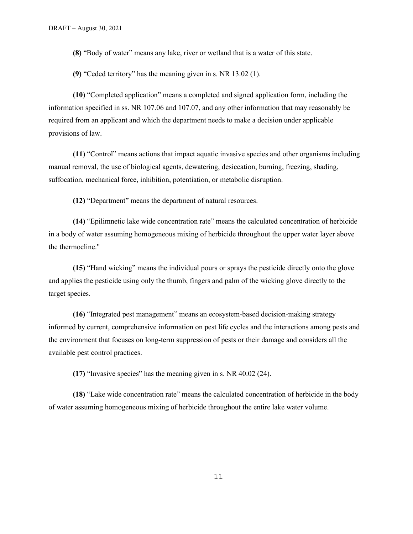**(8)** "Body of water" means any lake, river or wetland that is a water of this state.

**(9)** "Ceded territory" has the meaning given in s. NR 13.02 (1).

**(10)** "Completed application" means a completed and signed application form, including the information specified in ss. NR 107.06 and 107.07, and any other information that may reasonably be required from an applicant and which the department needs to make a decision under applicable provisions of law.

**(11)** "Control" means actions that impact aquatic invasive species and other organisms including manual removal, the use of biological agents, dewatering, desiccation, burning, freezing, shading, suffocation, mechanical force, inhibition, potentiation, or metabolic disruption.

**(12)** "Department" means the department of natural resources.

**(14)** "Epilimnetic lake wide concentration rate" means the calculated concentration of herbicide in a body of water assuming homogeneous mixing of herbicide throughout the upper water layer above the thermocline."

**(15)** "Hand wicking" means the individual pours or sprays the pesticide directly onto the glove and applies the pesticide using only the thumb, fingers and palm of the wicking glove directly to the target species.

**(16)** "Integrated pest management" means an ecosystem-based decision-making strategy informed by current, comprehensive information on pest life cycles and the interactions among pests and the environment that focuses on long-term suppression of pests or their damage and considers all the available pest control practices.

**(17)** "Invasive species" has the meaning given in s. NR 40.02 (24).

**(18)** "Lake wide concentration rate" means the calculated concentration of herbicide in the body of water assuming homogeneous mixing of herbicide throughout the entire lake water volume.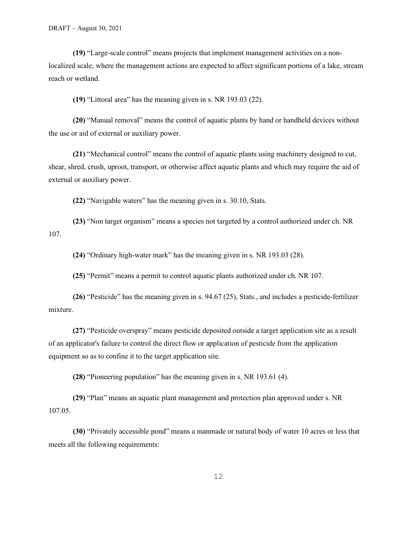**(19)** "Large-scale control" means projects that implement management activities on a nonlocalized scale, where the management actions are expected to affect significant portions of a lake, stream reach or wetland*.*

**(19)** "Littoral area" has the meaning given in s. NR 193.03 (22).

**(20)** "Manual removal" means the control of aquatic plants by hand or handheld devices without the use or aid of external or auxiliary power.

**(21)** "Mechanical control" means the control of aquatic plants using machinery designed to cut, shear, shred, crush, uproot, transport, or otherwise affect aquatic plants and which may require the aid of external or auxiliary power.

**(22)** "Navigable waters" has the meaning given in s. 30.10, Stats.

**(23)** "Non target organism" means a species not targeted by a control authorized under ch. NR 107.

**(24)** "Ordinary high-water mark" has the meaning given in s. NR 193.03 (28).

**(25)** "Permit" means a permit to control aquatic plants authorized under ch. NR 107.

**(26)** "Pesticide" has the meaning given in s. 94.67 (25), Stats., and includes a pesticide-fertilizer mixture.

**(27)** "Pesticide overspray" means pesticide deposited outside a target application site as a result of an applicator's failure to control the direct flow or application of pesticide from the application equipment so as to confine it to the target application site.

**(28)** "Pioneering population" has the meaning given in s. NR 193.61 (4).

**(29)** "Plan" means an aquatic plant management and protection plan approved under s. NR 107.05.

**(30)** "Privately accessible pond" means a manmade or natural body of water 10 acres or less that meets all the following requirements: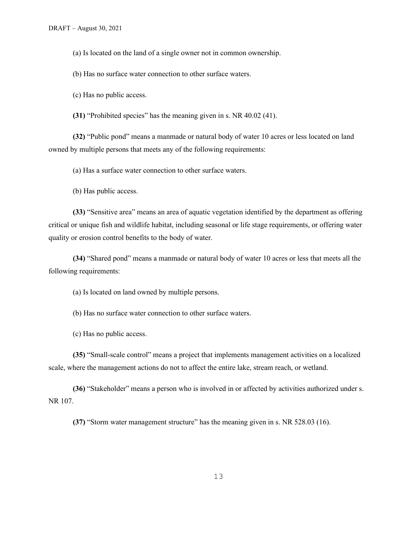(a) Is located on the land of a single owner not in common ownership.

(b) Has no surface water connection to other surface waters.

(c) Has no public access.

**(31)** "Prohibited species" has the meaning given in s. NR 40.02 (41).

**(32)** "Public pond" means a manmade or natural body of water 10 acres or less located on land owned by multiple persons that meets any of the following requirements:

(a) Has a surface water connection to other surface waters.

(b) Has public access.

**(33)** "Sensitive area" means an area of aquatic vegetation identified by the department as offering critical or unique fish and wildlife habitat, including seasonal or life stage requirements, or offering water quality or erosion control benefits to the body of water.

**(34)** "Shared pond" means a manmade or natural body of water 10 acres or less that meets all the following requirements:

(a) Is located on land owned by multiple persons.

(b) Has no surface water connection to other surface waters.

(c) Has no public access.

**(35)** "Small-scale control" means a project that implements management activities on a localized scale, where the management actions do not to affect the entire lake, stream reach, or wetland.

**(36)** "Stakeholder" means a person who is involved in or affected by activities authorized under s. NR 107.

**(37)** "Storm water management structure" has the meaning given in s. NR 528.03 (16).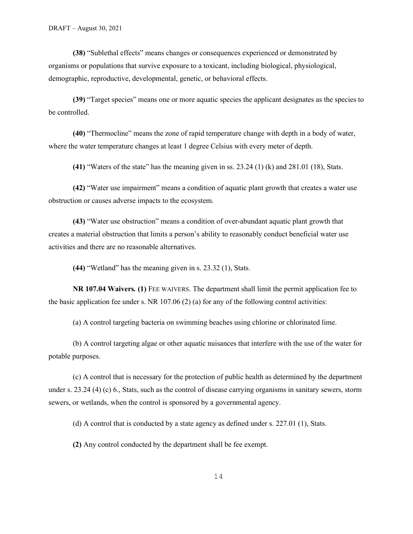**(38)** "Sublethal effects" means changes or consequences experienced or demonstrated by organisms or populations that survive exposure to a toxicant, including biological, physiological, demographic, reproductive, developmental, genetic, or behavioral effects.

**(39)** "Target species" means one or more aquatic species the applicant designates as the species to be controlled.

**(40)** "Thermocline" means the zone of rapid temperature change with depth in a body of water, where the water temperature changes at least 1 degree Celsius with every meter of depth.

**(41)** "Waters of the state" has the meaning given in ss. 23.24 (1) (k) and 281.01 (18), Stats.

**(42)** "Water use impairment" means a condition of aquatic plant growth that creates a water use obstruction or causes adverse impacts to the ecosystem.

**(43)** "Water use obstruction" means a condition of over-abundant aquatic plant growth that creates a material obstruction that limits a person's ability to reasonably conduct beneficial water use activities and there are no reasonable alternatives.

**(44)** "Wetland" has the meaning given in s. 23.32 (1), Stats.

**NR 107.04 Waivers***.* **(1)** FEE WAIVERS. The department shall limit the permit application fee to the basic application fee under s. NR 107.06 (2) (a) for any of the following control activities:

(a) A control targeting bacteria on swimming beaches using chlorine or chlorinated lime.

(b) A control targeting algae or other aquatic nuisances that interfere with the use of the water for potable purposes.

(c) A control that is necessary for the protection of public health as determined by the department under s. 23.24 (4) (c) 6., Stats, such as the control of disease carrying organisms in sanitary sewers, storm sewers, or wetlands, when the control is sponsored by a governmental agency.

(d) A control that is conducted by a state agency as defined under s. 227.01 (1), Stats.

**(2)** Any control conducted by the department shall be fee exempt.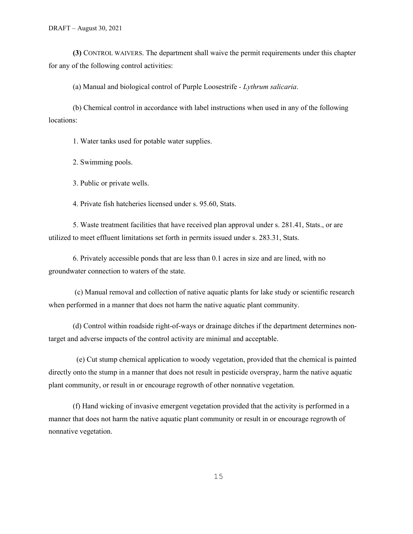**(3)** CONTROL WAIVERS. The department shall waive the permit requirements under this chapter for any of the following control activities:

(a) Manual and biological control of Purple Loosestrife *- Lythrum salicaria*.

(b) Chemical control in accordance with label instructions when used in any of the following locations:

1. Water tanks used for potable water supplies.

2. Swimming pools.

3. Public or private wells.

4. Private fish hatcheries licensed under s. 95.60, Stats.

5. Waste treatment facilities that have received plan approval under s. 281.41, Stats., or are utilized to meet effluent limitations set forth in permits issued under s. 283.31, Stats.

6. Privately accessible ponds that are less than 0.1 acres in size and are lined, with no groundwater connection to waters of the state.

(c) Manual removal and collection of native aquatic plants for lake study or scientific research when performed in a manner that does not harm the native aquatic plant community.

(d) Control within roadside right-of-ways or drainage ditches if the department determines nontarget and adverse impacts of the control activity are minimal and acceptable.

 (e) Cut stump chemical application to woody vegetation, provided that the chemical is painted directly onto the stump in a manner that does not result in pesticide overspray, harm the native aquatic plant community, or result in or encourage regrowth of other nonnative vegetation.

(f) Hand wicking of invasive emergent vegetation provided that the activity is performed in a manner that does not harm the native aquatic plant community or result in or encourage regrowth of nonnative vegetation.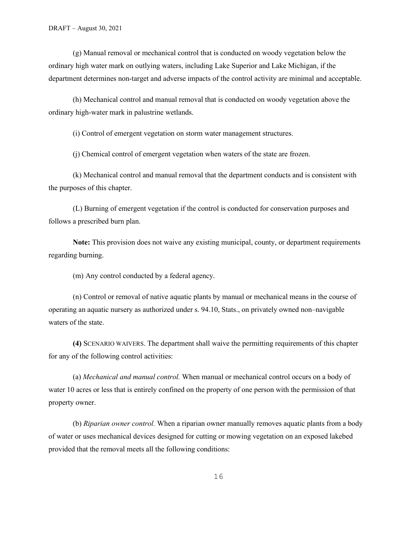(g) Manual removal or mechanical control that is conducted on woody vegetation below the ordinary high water mark on outlying waters, including Lake Superior and Lake Michigan, if the department determines non-target and adverse impacts of the control activity are minimal and acceptable.

(h) Mechanical control and manual removal that is conducted on woody vegetation above the ordinary high-water mark in palustrine wetlands.

(i) Control of emergent vegetation on storm water management structures.

(j) Chemical control of emergent vegetation when waters of the state are frozen.

(k) Mechanical control and manual removal that the department conducts and is consistent with the purposes of this chapter.

(L) Burning of emergent vegetation if the control is conducted for conservation purposes and follows a prescribed burn plan.

**Note:** This provision does not waive any existing municipal, county, or department requirements regarding burning.

(m) Any control conducted by a federal agency.

(n) Control or removal of native aquatic plants by manual or mechanical means in the course of operating an aquatic nursery as authorized under s. 94.10, Stats., on privately owned non–navigable waters of the state.

**(4)** SCENARIO WAIVERS. The department shall waive the permitting requirements of this chapter for any of the following control activities:

(a) *Mechanical and manual control.* When manual or mechanical control occurs on a body of water 10 acres or less that is entirely confined on the property of one person with the permission of that property owner.

(b) *Riparian owner control.* When a riparian owner manually removes aquatic plants from a body of water or uses mechanical devices designed for cutting or mowing vegetation on an exposed lakebed provided that the removal meets all the following conditions: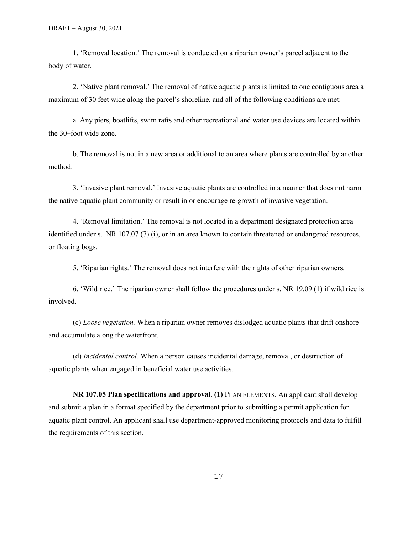1. 'Removal location.' The removal is conducted on a riparian owner's parcel adjacent to the body of water.

2. 'Native plant removal.' The removal of native aquatic plants is limited to one contiguous area a maximum of 30 feet wide along the parcel's shoreline, and all of the following conditions are met:

a. Any piers, boatlifts, swim rafts and other recreational and water use devices are located within the 30–foot wide zone.

b. The removal is not in a new area or additional to an area where plants are controlled by another method.

3. 'Invasive plant removal.' Invasive aquatic plants are controlled in a manner that does not harm the native aquatic plant community or result in or encourage re-growth of invasive vegetation.

4. 'Removal limitation.' The removal is not located in a department designated protection area identified under s. NR 107.07 (7) (i), or in an area known to contain threatened or endangered resources, or floating bogs.

5. 'Riparian rights.' The removal does not interfere with the rights of other riparian owners.

6. 'Wild rice.' The riparian owner shall follow the procedures under s. NR 19.09 (1) if wild rice is involved.

(c) *Loose vegetation.* When a riparian owner removes dislodged aquatic plants that drift onshore and accumulate along the waterfront.

(d) *Incidental control.* When a person causes incidental damage, removal, or destruction of aquatic plants when engaged in beneficial water use activities.

**NR 107.05 Plan specifications and approval**. **(1)** PLAN ELEMENTS. An applicant shall develop and submit a plan in a format specified by the department prior to submitting a permit application for aquatic plant control. An applicant shall use department-approved monitoring protocols and data to fulfill the requirements of this section.

17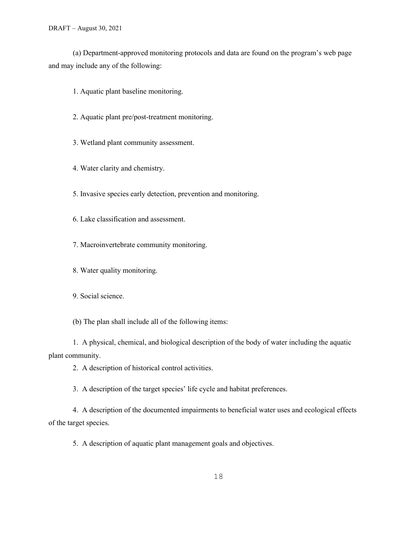(a) Department-approved monitoring protocols and data are found on the program's web page and may include any of the following:

1. Aquatic plant baseline monitoring.

- 2. Aquatic plant pre/post-treatment monitoring.
- 3. Wetland plant community assessment.
- 4. Water clarity and chemistry.

5. Invasive species early detection, prevention and monitoring.

6. Lake classification and assessment.

7. Macroinvertebrate community monitoring.

8. Water quality monitoring.

9. Social science.

(b) The plan shall include all of the following items:

1. A physical, chemical, and biological description of the body of water including the aquatic plant community.

2. A description of historical control activities.

3. A description of the target species' life cycle and habitat preferences.

4. A description of the documented impairments to beneficial water uses and ecological effects of the target species.

5. A description of aquatic plant management goals and objectives.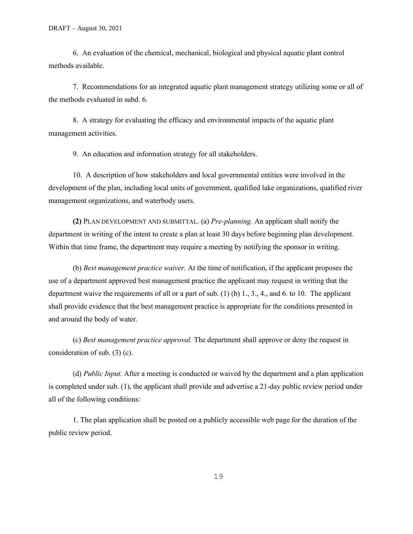6. An evaluation of the chemical, mechanical, biological and physical aquatic plant control methods available.

7. Recommendations for an integrated aquatic plant management strategy utilizing some or all of the methods evaluated in subd. 6.

8. A strategy for evaluating the efficacy and environmental impacts of the aquatic plant management activities.

9. An education and information strategy for all stakeholders.

10. A description of how stakeholders and local governmental entities were involved in the development of the plan, including local units of government, qualified lake organizations, qualified river management organizations, and waterbody users.

**(2)** PLAN DEVELOPMENT AND SUBMITTAL. (a) *Pre-planning.* An applicant shall notify the department in writing of the intent to create a plan at least 30 days before beginning plan development. Within that time frame, the department may require a meeting by notifying the sponsor in writing.

(b) *Best management practice waiver.* At the time of notification, if the applicant proposes the use of a department approved best management practice the applicant may request in writing that the department waive the requirements of all or a part of sub. (1) (b) 1., 3., 4., and 6. to 10. The applicant shall provide evidence that the best management practice is appropriate for the conditions presented in and around the body of water.

(c) *Best management practice approval.* The department shall approve or deny the request in consideration of sub. (3) (c).

(d) *Public Input.* After a meeting is conducted or waived by the department and a plan application is completed under sub. (1), the applicant shall provide and advertise a 21-day public review period under all of the following conditions:

1. The plan application shall be posted on a publicly accessible web page for the duration of the public review period.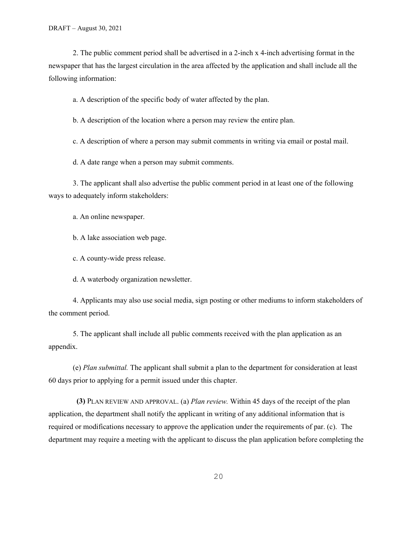2. The public comment period shall be advertised in a 2-inch x 4-inch advertising format in the newspaper that has the largest circulation in the area affected by the application and shall include all the following information:

a. A description of the specific body of water affected by the plan.

b. A description of the location where a person may review the entire plan.

c. A description of where a person may submit comments in writing via email or postal mail.

d. A date range when a person may submit comments.

3. The applicant shall also advertise the public comment period in at least one of the following ways to adequately inform stakeholders:

a. An online newspaper.

b. A lake association web page.

c. A county-wide press release.

d. A waterbody organization newsletter.

4. Applicants may also use social media, sign posting or other mediums to inform stakeholders of the comment period.

5. The applicant shall include all public comments received with the plan application as an appendix.

(e) *Plan submittal.* The applicant shall submit a plan to the department for consideration at least 60 days prior to applying for a permit issued under this chapter.

 **(3)** PLAN REVIEW AND APPROVAL. (a) *Plan review.* Within 45 days of the receipt of the plan application, the department shall notify the applicant in writing of any additional information that is required or modifications necessary to approve the application under the requirements of par. (c). The department may require a meeting with the applicant to discuss the plan application before completing the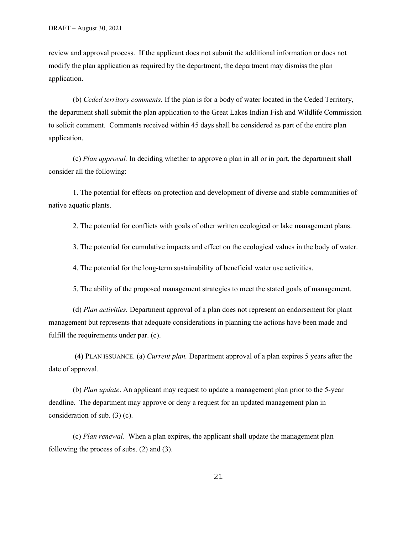review and approval process. If the applicant does not submit the additional information or does not modify the plan application as required by the department, the department may dismiss the plan application.

(b) *Ceded territory comments.* If the plan is for a body of water located in the Ceded Territory, the department shall submit the plan application to the Great Lakes Indian Fish and Wildlife Commission to solicit comment. Comments received within 45 days shall be considered as part of the entire plan application.

(c) *Plan approval.* In deciding whether to approve a plan in all or in part, the department shall consider all the following:

1. The potential for effects on protection and development of diverse and stable communities of native aquatic plants.

2. The potential for conflicts with goals of other written ecological or lake management plans.

3. The potential for cumulative impacts and effect on the ecological values in the body of water.

4. The potential for the long-term sustainability of beneficial water use activities.

5. The ability of the proposed management strategies to meet the stated goals of management.

(d) *Plan activities.* Department approval of a plan does not represent an endorsement for plant management but represents that adequate considerations in planning the actions have been made and fulfill the requirements under par. (c).

**(4)** PLAN ISSUANCE. (a) *Current plan.* Department approval of a plan expires 5 years after the date of approval.

(b) *Plan update*. An applicant may request to update a management plan prior to the 5-year deadline. The department may approve or deny a request for an updated management plan in consideration of sub. (3) (c).

(c) *Plan renewal.* When a plan expires, the applicant shall update the management plan following the process of subs. (2) and (3).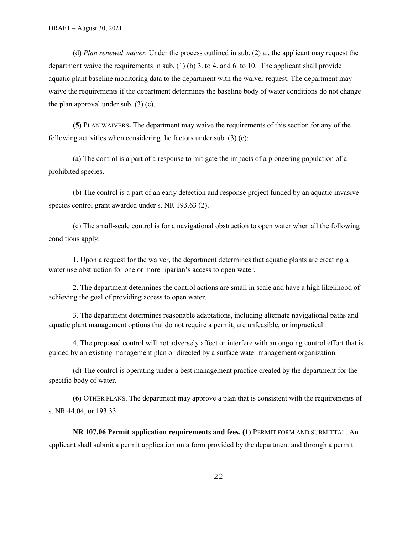(d) *Plan renewal waiver.* Under the process outlined in sub. (2) a., the applicant may request the department waive the requirements in sub. (1) (b) 3. to 4. and 6. to 10. The applicant shall provide aquatic plant baseline monitoring data to the department with the waiver request. The department may waive the requirements if the department determines the baseline body of water conditions do not change the plan approval under sub.  $(3)$  (c).

**(5)** PLAN WAIVERS**.** The department may waive the requirements of this section for any of the following activities when considering the factors under sub.  $(3)$  (c):

(a) The control is a part of a response to mitigate the impacts of a pioneering population of a prohibited species.

(b) The control is a part of an early detection and response project funded by an aquatic invasive species control grant awarded under s. NR 193.63 (2).

(c) The small-scale control is for a navigational obstruction to open water when all the following conditions apply:

1. Upon a request for the waiver, the department determines that aquatic plants are creating a water use obstruction for one or more riparian's access to open water.

2. The department determines the control actions are small in scale and have a high likelihood of achieving the goal of providing access to open water.

3. The department determines reasonable adaptations, including alternate navigational paths and aquatic plant management options that do not require a permit, are unfeasible, or impractical.

4. The proposed control will not adversely affect or interfere with an ongoing control effort that is guided by an existing management plan or directed by a surface water management organization.

(d) The control is operating under a best management practice created by the department for the specific body of water.

**(6)** OTHER PLANS. The department may approve a plan that is consistent with the requirements of s. NR 44.04, or 193.33.

**NR 107.06 Permit application requirements and fees***.* **(1)** PERMIT FORM AND SUBMITTAL. An applicant shall submit a permit application on a form provided by the department and through a permit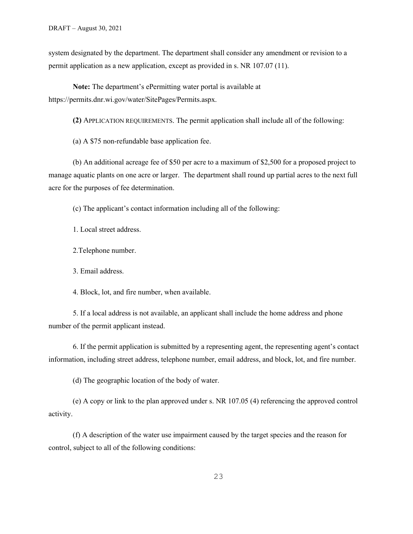system designated by the department. The department shall consider any amendment or revision to a permit application as a new application, except as provided in s. NR 107.07 (11).

**Note:** The department's ePermitting water portal is available at https://permits.dnr.wi.gov/water/SitePages/Permits.aspx.

**(2)** APPLICATION REQUIREMENTS. The permit application shall include all of the following:

(a) A \$75 non-refundable base application fee.

(b) An additional acreage fee of \$50 per acre to a maximum of \$2,500 for a proposed project to manage aquatic plants on one acre or larger. The department shall round up partial acres to the next full acre for the purposes of fee determination.

(c) The applicant's contact information including all of the following:

1. Local street address.

2.Telephone number.

3. Email address.

4. Block, lot, and fire number, when available.

5. If a local address is not available, an applicant shall include the home address and phone number of the permit applicant instead.

6. If the permit application is submitted by a representing agent, the representing agent's contact information, including street address, telephone number, email address, and block, lot, and fire number.

(d) The geographic location of the body of water.

(e) A copy or link to the plan approved under s. NR 107.05 (4) referencing the approved control activity.

(f) A description of the water use impairment caused by the target species and the reason for control, subject to all of the following conditions: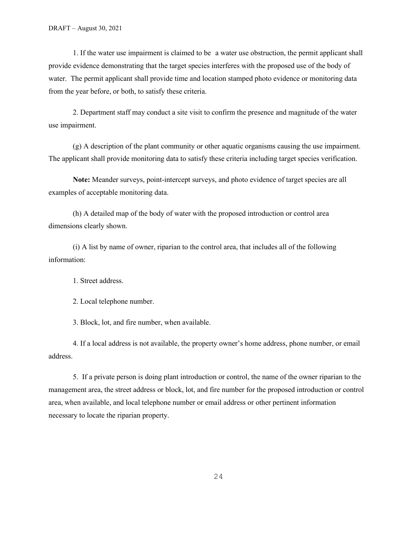1. If the water use impairment is claimed to be a water use obstruction, the permit applicant shall provide evidence demonstrating that the target species interferes with the proposed use of the body of water. The permit applicant shall provide time and location stamped photo evidence or monitoring data from the year before, or both, to satisfy these criteria.

2. Department staff may conduct a site visit to confirm the presence and magnitude of the water use impairment.

(g) A description of the plant community or other aquatic organisms causing the use impairment. The applicant shall provide monitoring data to satisfy these criteria including target species verification.

**Note:** Meander surveys, point-intercept surveys, and photo evidence of target species are all examples of acceptable monitoring data.

(h) A detailed map of the body of water with the proposed introduction or control area dimensions clearly shown.

(i) A list by name of owner, riparian to the control area, that includes all of the following information:

1. Street address.

2. Local telephone number.

3. Block, lot, and fire number, when available.

4. If a local address is not available, the property owner's home address, phone number, or email address.

5. If a private person is doing plant introduction or control, the name of the owner riparian to the management area, the street address or block, lot, and fire number for the proposed introduction or control area, when available, and local telephone number or email address or other pertinent information necessary to locate the riparian property.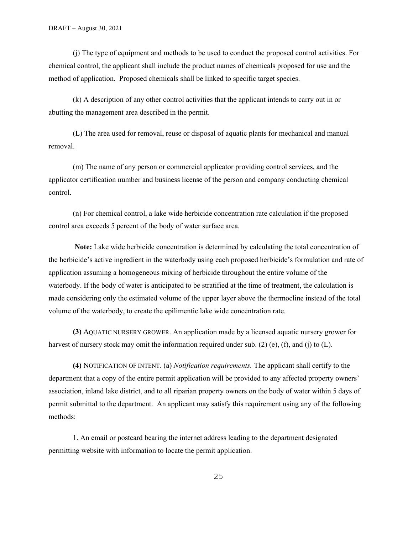(j) The type of equipment and methods to be used to conduct the proposed control activities. For chemical control, the applicant shall include the product names of chemicals proposed for use and the method of application. Proposed chemicals shall be linked to specific target species.

(k) A description of any other control activities that the applicant intends to carry out in or abutting the management area described in the permit.

(L) The area used for removal, reuse or disposal of aquatic plants for mechanical and manual removal.

(m) The name of any person or commercial applicator providing control services, and the applicator certification number and business license of the person and company conducting chemical control.

(n) For chemical control, a lake wide herbicide concentration rate calculation if the proposed control area exceeds 5 percent of the body of water surface area.

**Note:** Lake wide herbicide concentration is determined by calculating the total concentration of the herbicide's active ingredient in the waterbody using each proposed herbicide's formulation and rate of application assuming a homogeneous mixing of herbicide throughout the entire volume of the waterbody. If the body of water is anticipated to be stratified at the time of treatment, the calculation is made considering only the estimated volume of the upper layer above the thermocline instead of the total volume of the waterbody, to create the epilimentic lake wide concentration rate.

**(3)** AQUATIC NURSERY GROWER. An application made by a licensed aquatic nursery grower for harvest of nursery stock may omit the information required under sub. (2) (e), (f), and (j) to (L).

**(4)** NOTIFICATION OF INTENT. (a) *Notification requirements.* The applicant shall certify to the department that a copy of the entire permit application will be provided to any affected property owners' association, inland lake district, and to all riparian property owners on the body of water within 5 days of permit submittal to the department. An applicant may satisfy this requirement using any of the following methods:

1. An email or postcard bearing the internet address leading to the department designated permitting website with information to locate the permit application.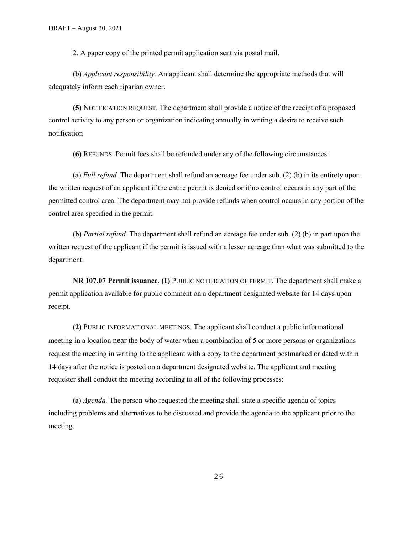2. A paper copy of the printed permit application sent via postal mail.

(b) *Applicant responsibility.* An applicant shall determine the appropriate methods that will adequately inform each riparian owner.

**(5)** NOTIFICATION REQUEST. The department shall provide a notice of the receipt of a proposed control activity to any person or organization indicating annually in writing a desire to receive such notification

**(6)** REFUNDS. Permit fees shall be refunded under any of the following circumstances:

(a) *Full refund.* The department shall refund an acreage fee under sub. (2) (b) in its entirety upon the written request of an applicant if the entire permit is denied or if no control occurs in any part of the permitted control area. The department may not provide refunds when control occurs in any portion of the control area specified in the permit.

(b) *Partial refund.* The department shall refund an acreage fee under sub. (2) (b) in part upon the written request of the applicant if the permit is issued with a lesser acreage than what was submitted to the department.

**NR 107.07 Permit issuance**. **(1)** PUBLIC NOTIFICATION OF PERMIT. The department shall make a permit application available for public comment on a department designated website for 14 days upon receipt.

**(2)** PUBLIC INFORMATIONAL MEETINGS. The applicant shall conduct a public informational meeting in a location near the body of water when a combination of 5 or more persons or organizations request the meeting in writing to the applicant with a copy to the department postmarked or dated within 14 days after the notice is posted on a department designated website. The applicant and meeting requester shall conduct the meeting according to all of the following processes:

(a) *Agenda.* The person who requested the meeting shall state a specific agenda of topics including problems and alternatives to be discussed and provide the agenda to the applicant prior to the meeting.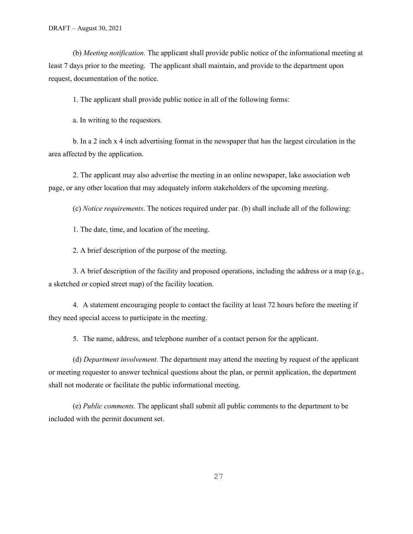(b) *Meeting notification.* The applicant shall provide public notice of the informational meeting at least 7 days prior to the meeting. The applicant shall maintain, and provide to the department upon request, documentation of the notice.

1. The applicant shall provide public notice in all of the following forms:

a. In writing to the requestors.

b. In a 2 inch x 4 inch advertising format in the newspaper that has the largest circulation in the area affected by the application.

2. The applicant may also advertise the meeting in an online newspaper, lake association web page, or any other location that may adequately inform stakeholders of the upcoming meeting.

(c) *Notice requirements*. The notices required under par. (b) shall include all of the following:

1. The date, time, and location of the meeting.

2. A brief description of the purpose of the meeting.

3. A brief description of the facility and proposed operations, including the address or a map (e.g., a sketched or copied street map) of the facility location.

4. A statement encouraging people to contact the facility at least 72 hours before the meeting if they need special access to participate in the meeting.

5. The name, address, and telephone number of a contact person for the applicant.

(d) *Department involvement.* The department may attend the meeting by request of the applicant or meeting requester to answer technical questions about the plan, or permit application, the department shall not moderate or facilitate the public informational meeting.

(e) *Public comments.* The applicant shall submit all public comments to the department to be included with the permit document set.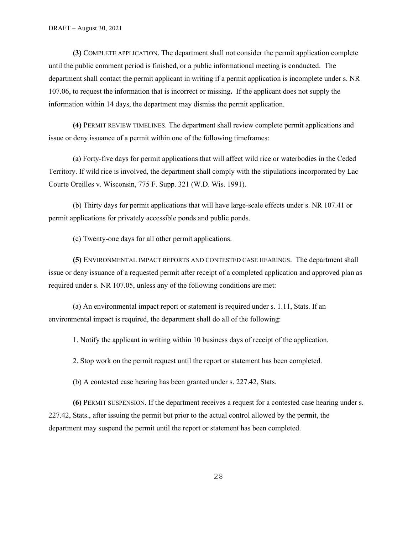**(3)** COMPLETE APPLICATION. The department shall not consider the permit application complete until the public comment period is finished, or a public informational meeting is conducted. The department shall contact the permit applicant in writing if a permit application is incomplete under s. NR 107.06, to request the information that is incorrect or missing**.** If the applicant does not supply the information within 14 days, the department may dismiss the permit application.

**(4)** PERMIT REVIEW TIMELINES. The department shall review complete permit applications and issue or deny issuance of a permit within one of the following timeframes:

(a) Forty-five days for permit applications that will affect wild rice or waterbodies in the Ceded Territory. If wild rice is involved, the department shall comply with the stipulations incorporated by Lac Courte Oreilles v. Wisconsin, 775 F. Supp. 321 (W.D. Wis. 1991).

(b) Thirty days for permit applications that will have large-scale effects under s. NR 107.41 or permit applications for privately accessible ponds and public ponds.

(c) Twenty-one days for all other permit applications.

**(5)** ENVIRONMENTAL IMPACT REPORTS AND CONTESTED CASE HEARINGS. The department shall issue or deny issuance of a requested permit after receipt of a completed application and approved plan as required under s. NR 107.05, unless any of the following conditions are met:

(a) An environmental impact report or statement is required under s. 1.11, Stats. If an environmental impact is required, the department shall do all of the following:

1. Notify the applicant in writing within 10 business days of receipt of the application.

2. Stop work on the permit request until the report or statement has been completed.

(b) A contested case hearing has been granted under s. 227.42, Stats.

**(6)** PERMIT SUSPENSION. If the department receives a request for a contested case hearing under s. 227.42, Stats., after issuing the permit but prior to the actual control allowed by the permit, the department may suspend the permit until the report or statement has been completed.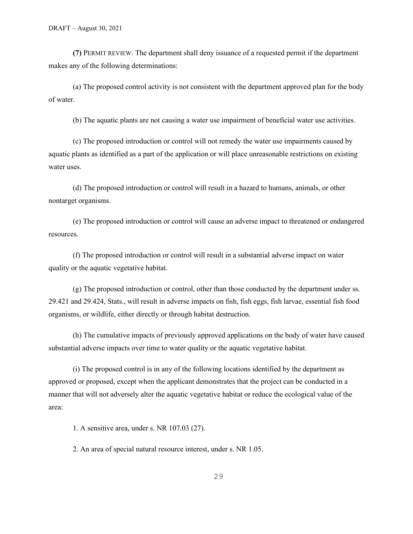**(7)** PERMIT REVIEW. The department shall deny issuance of a requested permit if the department makes any of the following determinations:

(a) The proposed control activity is not consistent with the department approved plan for the body of water.

(b) The aquatic plants are not causing a water use impairment of beneficial water use activities.

(c) The proposed introduction or control will not remedy the water use impairments caused by aquatic plants as identified as a part of the application or will place unreasonable restrictions on existing water uses.

(d) The proposed introduction or control will result in a hazard to humans, animals, or other nontarget organisms.

(e) The proposed introduction or control will cause an adverse impact to threatened or endangered resources.

(f) The proposed introduction or control will result in a substantial adverse impact on water quality or the aquatic vegetative habitat.

(g) The proposed introduction or control, other than those conducted by the department under ss. 29.421 and 29.424, Stats., will result in adverse impacts on fish, fish eggs, fish larvae, essential fish food organisms, or wildlife, either directly or through habitat destruction.

(h) The cumulative impacts of previously approved applications on the body of water have caused substantial adverse impacts over time to water quality or the aquatic vegetative habitat.

(i) The proposed control is in any of the following locations identified by the department as approved or proposed, except when the applicant demonstrates that the project can be conducted in a manner that will not adversely alter the aquatic vegetative habitat or reduce the ecological value of the area:

1. A sensitive area, under s. NR 107.03 (27).

2. An area of special natural resource interest, under s. NR 1.05.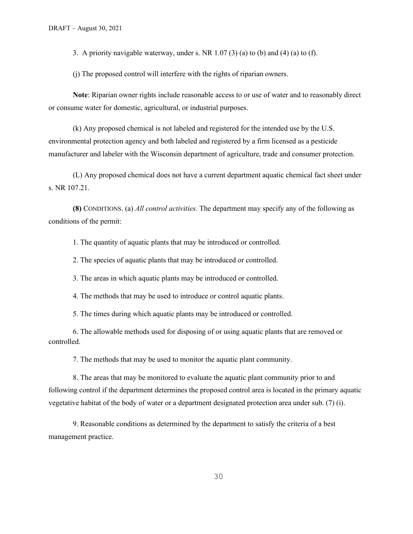3. A priority navigable waterway, under s. NR  $1.07$  (3) (a) to (b) and (4) (a) to (f).

(j) The proposed control will interfere with the rights of riparian owners.

**Note**: Riparian owner rights include reasonable access to or use of water and to reasonably direct or consume water for domestic, agricultural, or industrial purposes.

(k) Any proposed chemical is not labeled and registered for the intended use by the U.S. environmental protection agency and both labeled and registered by a firm licensed as a pesticide manufacturer and labeler with the Wisconsin department of agriculture, trade and consumer protection.

(L) Any proposed chemical does not have a current department aquatic chemical fact sheet under s. NR 107.21.

**(8)** CONDITIONS. (a) *All control activities.* The department may specify any of the following as conditions of the permit:

1. The quantity of aquatic plants that may be introduced or controlled.

2. The species of aquatic plants that may be introduced or controlled.

3. The areas in which aquatic plants may be introduced or controlled.

4. The methods that may be used to introduce or control aquatic plants.

5. The times during which aquatic plants may be introduced or controlled.

6. The allowable methods used for disposing of or using aquatic plants that are removed or controlled.

7. The methods that may be used to monitor the aquatic plant community.

8. The areas that may be monitored to evaluate the aquatic plant community prior to and following control if the department determines the proposed control area is located in the primary aquatic vegetative habitat of the body of water or a department designated protection area under sub. (7) (i).

9. Reasonable conditions as determined by the department to satisfy the criteria of a best management practice.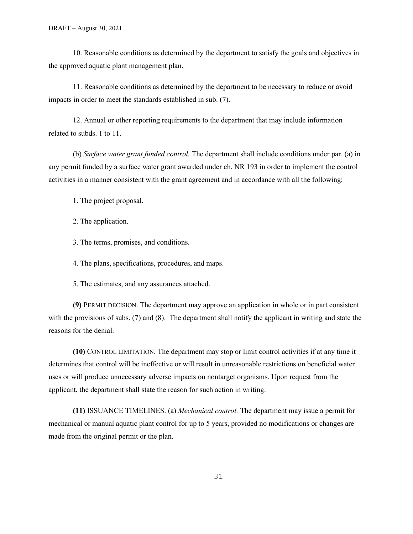10. Reasonable conditions as determined by the department to satisfy the goals and objectives in the approved aquatic plant management plan.

11. Reasonable conditions as determined by the department to be necessary to reduce or avoid impacts in order to meet the standards established in sub. (7).

12. Annual or other reporting requirements to the department that may include information related to subds. 1 to 11.

(b) *Surface water grant funded control.* The department shall include conditions under par. (a) in any permit funded by a surface water grant awarded under ch. NR 193 in order to implement the control activities in a manner consistent with the grant agreement and in accordance with all the following:

1. The project proposal.

2. The application.

3. The terms, promises, and conditions.

4. The plans, specifications, procedures, and maps.

5. The estimates, and any assurances attached.

**(9)** PERMIT DECISION. The department may approve an application in whole or in part consistent with the provisions of subs. (7) and (8). The department shall notify the applicant in writing and state the reasons for the denial.

**(10)** CONTROL LIMITATION. The department may stop or limit control activities if at any time it determines that control will be ineffective or will result in unreasonable restrictions on beneficial water uses or will produce unnecessary adverse impacts on nontarget organisms. Upon request from the applicant, the department shall state the reason for such action in writing.

**(11)** ISSUANCE TIMELINES. (a) *Mechanical control.* The department may issue a permit for mechanical or manual aquatic plant control for up to 5 years, provided no modifications or changes are made from the original permit or the plan.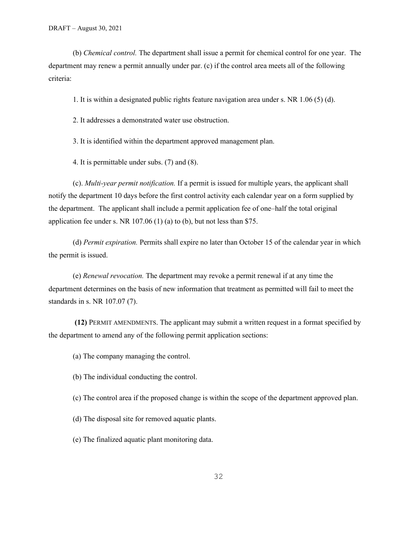(b) *Chemical control.* The department shall issue a permit for chemical control for one year. The department may renew a permit annually under par. (c) if the control area meets all of the following criteria:

1. It is within a designated public rights feature navigation area under s. NR 1.06 (5) (d).

2. It addresses a demonstrated water use obstruction.

3. It is identified within the department approved management plan.

4. It is permittable under subs. (7) and (8).

(c). *Multi-year permit notification.* If a permit is issued for multiple years, the applicant shall notify the department 10 days before the first control activity each calendar year on a form supplied by the department. The applicant shall include a permit application fee of one–half the total original application fee under s. NR 107.06 (1) (a) to (b), but not less than \$75.

(d) *Permit expiration.* Permits shall expire no later than October 15 of the calendar year in which the permit is issued.

(e) *Renewal revocation.* The department may revoke a permit renewal if at any time the department determines on the basis of new information that treatment as permitted will fail to meet the standards in s. NR 107.07 (7).

**(12)** PERMIT AMENDMENTS. The applicant may submit a written request in a format specified by the department to amend any of the following permit application sections:

(a) The company managing the control.

(b) The individual conducting the control.

(c) The control area if the proposed change is within the scope of the department approved plan.

(d) The disposal site for removed aquatic plants.

(e) The finalized aquatic plant monitoring data.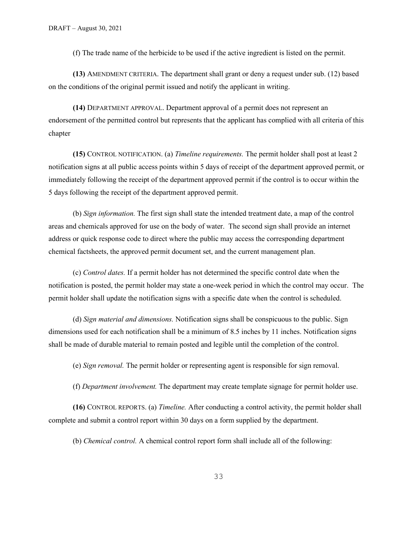(f) The trade name of the herbicide to be used if the active ingredient is listed on the permit.

**(13)** AMENDMENT CRITERIA. The department shall grant or deny a request under sub. (12) based on the conditions of the original permit issued and notify the applicant in writing.

**(14)** DEPARTMENT APPROVAL. Department approval of a permit does not represent an endorsement of the permitted control but represents that the applicant has complied with all criteria of this chapter

**(15)** CONTROL NOTIFICATION. (a) *Timeline requirements.* The permit holder shall post at least 2 notification signs at all public access points within 5 days of receipt of the department approved permit, or immediately following the receipt of the department approved permit if the control is to occur within the 5 days following the receipt of the department approved permit.

(b) *Sign information.* The first sign shall state the intended treatment date, a map of the control areas and chemicals approved for use on the body of water. The second sign shall provide an internet address or quick response code to direct where the public may access the corresponding department chemical factsheets, the approved permit document set, and the current management plan.

(c) *Control dates.* If a permit holder has not determined the specific control date when the notification is posted, the permit holder may state a one-week period in which the control may occur. The permit holder shall update the notification signs with a specific date when the control is scheduled.

(d) *Sign material and dimensions.* Notification signs shall be conspicuous to the public. Sign dimensions used for each notification shall be a minimum of 8.5 inches by 11 inches. Notification signs shall be made of durable material to remain posted and legible until the completion of the control.

(e) *Sign removal.* The permit holder or representing agent is responsible for sign removal.

(f) *Department involvement.* The department may create template signage for permit holder use.

**(16)** CONTROL REPORTS. (a) *Timeline.* After conducting a control activity, the permit holder shall complete and submit a control report within 30 days on a form supplied by the department.

(b) *Chemical control.* A chemical control report form shall include all of the following: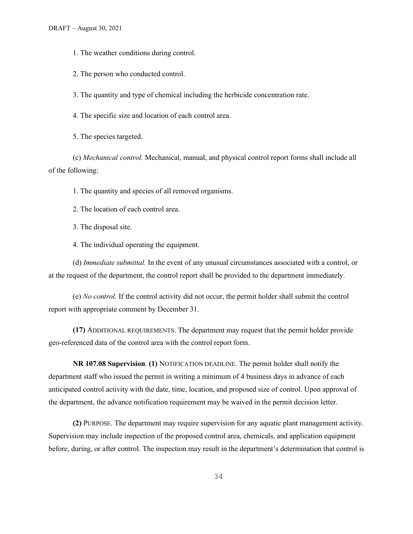1. The weather conditions during control.

2. The person who conducted control.

3. The quantity and type of chemical including the herbicide concentration rate.

4. The specific size and location of each control area.

5. The species targeted.

(c) *Mechanical control.* Mechanical, manual, and physical control report forms shall include all of the following:

1. The quantity and species of all removed organisms.

2. The location of each control area.

3. The disposal site.

4. The individual operating the equipment.

(d) *Immediate submittal.* In the event of any unusual circumstances associated with a control, or at the request of the department, the control report shall be provided to the department immediately.

(e) *No control.* If the control activity did not occur, the permit holder shall submit the control report with appropriate comment by December 31.

**(17)** ADDITIONAL REQUIREMENTS. The department may request that the permit holder provide geo-referenced data of the control area with the control report form.

**NR 107.08 Supervision**. **(1)** NOTIFICATION DEADLINE. The permit holder shall notify the department staff who issued the permit in writing a minimum of 4 business days in advance of each anticipated control activity with the date, time, location, and proposed size of control. Upon approval of the department, the advance notification requirement may be waived in the permit decision letter.

**(2)** PURPOSE. The department may require supervision for any aquatic plant management activity. Supervision may include inspection of the proposed control area, chemicals, and application equipment before, during, or after control. The inspection may result in the department's determination that control is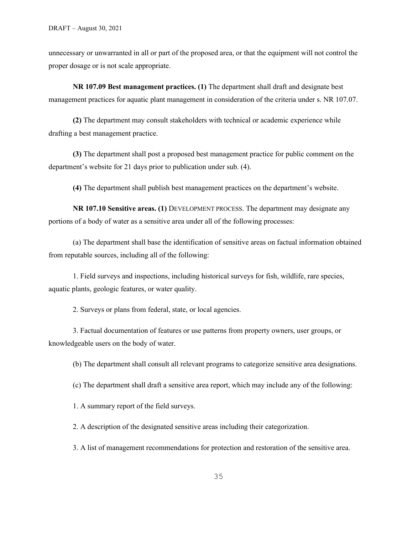unnecessary or unwarranted in all or part of the proposed area, or that the equipment will not control the proper dosage or is not scale appropriate.

**NR 107.09 Best management practices. (1)** The department shall draft and designate best management practices for aquatic plant management in consideration of the criteria under s. NR 107.07.

**(2)** The department may consult stakeholders with technical or academic experience while drafting a best management practice.

**(3)** The department shall post a proposed best management practice for public comment on the department's website for 21 days prior to publication under sub. (4).

**(4)** The department shall publish best management practices on the department's website.

**NR 107.10 Sensitive areas. (1)** DEVELOPMENT PROCESS. The department may designate any portions of a body of water as a sensitive area under all of the following processes:

(a) The department shall base the identification of sensitive areas on factual information obtained from reputable sources, including all of the following:

1. Field surveys and inspections, including historical surveys for fish, wildlife, rare species, aquatic plants, geologic features, or water quality.

2. Surveys or plans from federal, state, or local agencies.

3. Factual documentation of features or use patterns from property owners, user groups, or knowledgeable users on the body of water.

(b) The department shall consult all relevant programs to categorize sensitive area designations.

(c) The department shall draft a sensitive area report, which may include any of the following:

1. A summary report of the field surveys.

2. A description of the designated sensitive areas including their categorization.

3. A list of management recommendations for protection and restoration of the sensitive area.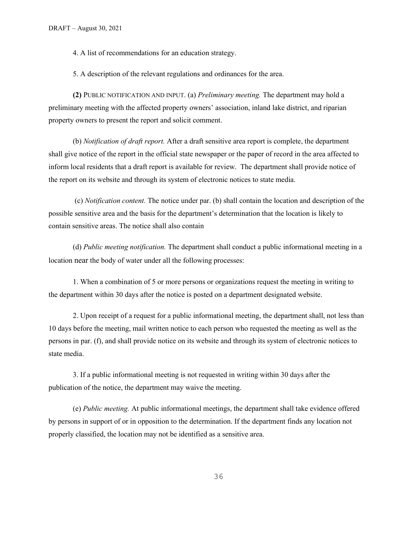4. A list of recommendations for an education strategy.

5. A description of the relevant regulations and ordinances for the area.

**(2)** PUBLIC NOTIFICATION AND INPUT. (a) *Preliminary meeting.* The department may hold a preliminary meeting with the affected property owners' association, inland lake district, and riparian property owners to present the report and solicit comment.

(b) *Notification of draft report.* After a draft sensitive area report is complete, the department shall give notice of the report in the official state newspaper or the paper of record in the area affected to inform local residents that a draft report is available for review. The department shall provide notice of the report on its website and through its system of electronic notices to state media.

(c) *Notification content.* The notice under par. (b) shall contain the location and description of the possible sensitive area and the basis for the department's determination that the location is likely to contain sensitive areas. The notice shall also contain

(d) *Public meeting notification.* The department shall conduct a public informational meeting in a location near the body of water under all the following processes:

1. When a combination of 5 or more persons or organizations request the meeting in writing to the department within 30 days after the notice is posted on a department designated website.

2. Upon receipt of a request for a public informational meeting, the department shall, not less than 10 days before the meeting, mail written notice to each person who requested the meeting as well as the persons in par. (f), and shall provide notice on its website and through its system of electronic notices to state media.

3. If a public informational meeting is not requested in writing within 30 days after the publication of the notice, the department may waive the meeting.

(e) *Public meeting.* At public informational meetings, the department shall take evidence offered by persons in support of or in opposition to the determination. If the department finds any location not properly classified, the location may not be identified as a sensitive area.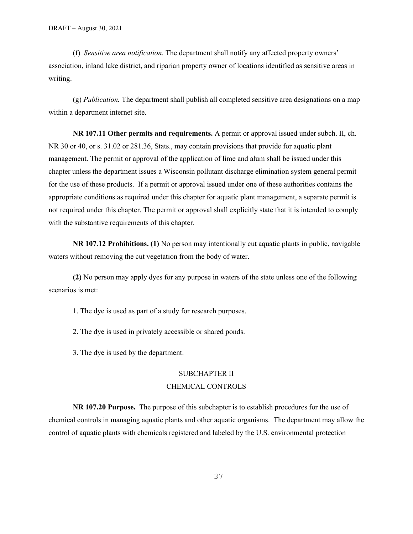(f) *Sensitive area notification.* The department shall notify any affected property owners' association, inland lake district, and riparian property owner of locations identified as sensitive areas in writing.

(g) *Publication.* The department shall publish all completed sensitive area designations on a map within a department internet site.

**NR 107.11 Other permits and requirements.** A permit or approval issued under subch. II, ch. NR 30 or 40, or s. 31.02 or 281.36, Stats., may contain provisions that provide for aquatic plant management. The permit or approval of the application of lime and alum shall be issued under this chapter unless the department issues a Wisconsin pollutant discharge elimination system general permit for the use of these products. If a permit or approval issued under one of these authorities contains the appropriate conditions as required under this chapter for aquatic plant management, a separate permit is not required under this chapter. The permit or approval shall explicitly state that it is intended to comply with the substantive requirements of this chapter.

**NR 107.12 Prohibitions. (1)** No person may intentionally cut aquatic plants in public, navigable waters without removing the cut vegetation from the body of water.

**(2)** No person may apply dyes for any purpose in waters of the state unless one of the following scenarios is met:

1. The dye is used as part of a study for research purposes.

2. The dye is used in privately accessible or shared ponds.

3. The dye is used by the department.

#### SUBCHAPTER II

#### CHEMICAL CONTROLS

**NR 107.20 Purpose.** The purpose of this subchapter is to establish procedures for the use of chemical controls in managing aquatic plants and other aquatic organisms. The department may allow the control of aquatic plants with chemicals registered and labeled by the U.S. environmental protection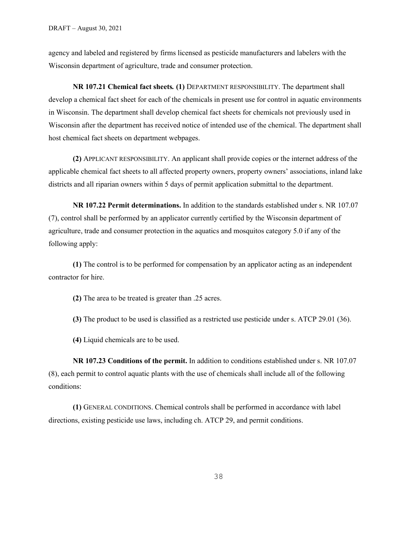agency and labeled and registered by firms licensed as pesticide manufacturers and labelers with the Wisconsin department of agriculture, trade and consumer protection.

**NR 107.21 Chemical fact sheets***.* **(1)** DEPARTMENT RESPONSIBILITY. The department shall develop a chemical fact sheet for each of the chemicals in present use for control in aquatic environments in Wisconsin. The department shall develop chemical fact sheets for chemicals not previously used in Wisconsin after the department has received notice of intended use of the chemical. The department shall host chemical fact sheets on department webpages.

**(2)** APPLICANT RESPONSIBILITY. An applicant shall provide copies or the internet address of the applicable chemical fact sheets to all affected property owners, property owners' associations, inland lake districts and all riparian owners within 5 days of permit application submittal to the department.

**NR 107.22 Permit determinations.** In addition to the standards established under s. NR 107.07 (7), control shall be performed by an applicator currently certified by the Wisconsin department of agriculture, trade and consumer protection in the aquatics and mosquitos category 5.0 if any of the following apply:

**(1)** The control is to be performed for compensation by an applicator acting as an independent contractor for hire.

**(2)** The area to be treated is greater than .25 acres.

**(3)** The product to be used is classified as a restricted use pesticide under s. ATCP 29.01 (36).

**(4)** Liquid chemicals are to be used.

**NR 107.23 Conditions of the permit.** In addition to conditions established under s. NR 107.07 (8), each permit to control aquatic plants with the use of chemicals shall include all of the following conditions:

**(1)** GENERAL CONDITIONS. Chemical controls shall be performed in accordance with label directions, existing pesticide use laws, including ch. ATCP 29, and permit conditions.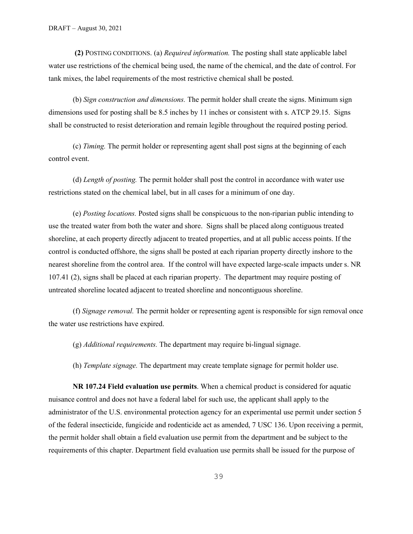**(2)** POSTING CONDITIONS. (a) *Required information.* The posting shall state applicable label water use restrictions of the chemical being used, the name of the chemical, and the date of control. For tank mixes, the label requirements of the most restrictive chemical shall be posted.

(b) *Sign construction and dimensions.* The permit holder shall create the signs. Minimum sign dimensions used for posting shall be 8.5 inches by 11 inches or consistent with s. ATCP 29.15. Signs shall be constructed to resist deterioration and remain legible throughout the required posting period.

(c) *Timing.* The permit holder or representing agent shall post signs at the beginning of each control event.

(d) *Length of posting.* The permit holder shall post the control in accordance with water use restrictions stated on the chemical label, but in all cases for a minimum of one day.

(e) *Posting locations.* Posted signs shall be conspicuous to the non-riparian public intending to use the treated water from both the water and shore. Signs shall be placed along contiguous treated shoreline, at each property directly adjacent to treated properties, and at all public access points. If the control is conducted offshore, the signs shall be posted at each riparian property directly inshore to the nearest shoreline from the control area. If the control will have expected large-scale impacts under s. NR 107.41 (2), signs shall be placed at each riparian property. The department may require posting of untreated shoreline located adjacent to treated shoreline and noncontiguous shoreline.

(f) *Signage removal.* The permit holder or representing agent is responsible for sign removal once the water use restrictions have expired.

(g) *Additional requirements.* The department may require bi-lingual signage.

(h) *Template signage.* The department may create template signage for permit holder use.

**NR 107.24 Field evaluation use permits**. When a chemical product is considered for aquatic nuisance control and does not have a federal label for such use, the applicant shall apply to the administrator of the U.S. environmental protection agency for an experimental use permit under section 5 of the federal insecticide, fungicide and rodenticide act as amended, 7 USC 136. Upon receiving a permit, the permit holder shall obtain a field evaluation use permit from the department and be subject to the requirements of this chapter. Department field evaluation use permits shall be issued for the purpose of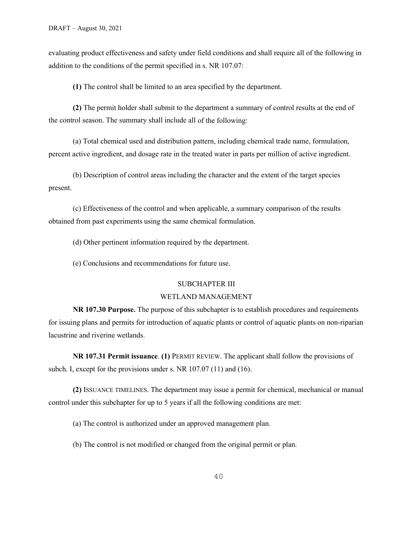evaluating product effectiveness and safety under field conditions and shall require all of the following in addition to the conditions of the permit specified in s. NR 107.07:

**(1)** The control shall be limited to an area specified by the department.

**(2)** The permit holder shall submit to the department a summary of control results at the end of the control season. The summary shall include all of the following:

(a) Total chemical used and distribution pattern, including chemical trade name, formulation, percent active ingredient, and dosage rate in the treated water in parts per million of active ingredient.

(b) Description of control areas including the character and the extent of the target species present.

(c) Effectiveness of the control and when applicable, a summary comparison of the results obtained from past experiments using the same chemical formulation.

(d) Other pertinent information required by the department.

(e) Conclusions and recommendations for future use.

#### SUBCHAPTER III

## WETLAND MANAGEMENT

**NR 107.30 Purpose.** The purpose of this subchapter is to establish procedures and requirements for issuing plans and permits for introduction of aquatic plants or control of aquatic plants on non-riparian lacustrine and riverine wetlands.

**NR 107.31 Permit issuance**. **(1)** PERMIT REVIEW. The applicant shall follow the provisions of subch. I, except for the provisions under s. NR 107.07 (11) and (16).

**(2)** ISSUANCE TIMELINES. The department may issue a permit for chemical, mechanical or manual control under this subchapter for up to 5 years if all the following conditions are met:

(a) The control is authorized under an approved management plan.

(b) The control is not modified or changed from the original permit or plan.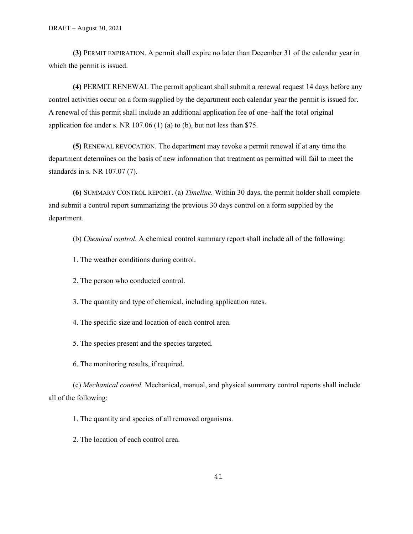**(3)** PERMIT EXPIRATION. A permit shall expire no later than December 31 of the calendar year in which the permit is issued.

**(4)** PERMIT RENEWAL The permit applicant shall submit a renewal request 14 days before any control activities occur on a form supplied by the department each calendar year the permit is issued for. A renewal of this permit shall include an additional application fee of one–half the total original application fee under s. NR 107.06 (1) (a) to (b), but not less than \$75.

**(5)** RENEWAL REVOCATION. The department may revoke a permit renewal if at any time the department determines on the basis of new information that treatment as permitted will fail to meet the standards in s. NR 107.07 (7).

**(6)** SUMMARY CONTROL REPORT. (a) *Timeline.* Within 30 days, the permit holder shall complete and submit a control report summarizing the previous 30 days control on a form supplied by the department.

(b) *Chemical control.* A chemical control summary report shall include all of the following:

- 1. The weather conditions during control.
- 2. The person who conducted control.
- 3. The quantity and type of chemical, including application rates.
- 4. The specific size and location of each control area.
- 5. The species present and the species targeted.
- 6. The monitoring results, if required.

(c) *Mechanical control.* Mechanical, manual, and physical summary control reports shall include all of the following:

1. The quantity and species of all removed organisms.

2. The location of each control area.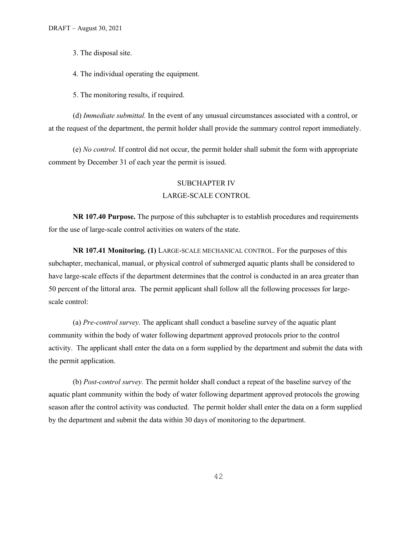3. The disposal site.

4. The individual operating the equipment.

5. The monitoring results, if required.

(d) *Immediate submittal.* In the event of any unusual circumstances associated with a control, or at the request of the department, the permit holder shall provide the summary control report immediately.

(e) *No control.* If control did not occur, the permit holder shall submit the form with appropriate comment by December 31 of each year the permit is issued.

#### SUBCHAPTER IV

#### LARGE-SCALE CONTROL

**NR 107.40 Purpose.** The purpose of this subchapter is to establish procedures and requirements for the use of large-scale control activities on waters of the state.

**NR 107.41 Monitoring. (1)** LARGE-SCALE MECHANICAL CONTROL. For the purposes of this subchapter, mechanical, manual, or physical control of submerged aquatic plants shall be considered to have large-scale effects if the department determines that the control is conducted in an area greater than 50 percent of the littoral area. The permit applicant shall follow all the following processes for largescale control:

(a) *Pre-control survey.* The applicant shall conduct a baseline survey of the aquatic plant community within the body of water following department approved protocols prior to the control activity. The applicant shall enter the data on a form supplied by the department and submit the data with the permit application.

(b) *Post-control survey.* The permit holder shall conduct a repeat of the baseline survey of the aquatic plant community within the body of water following department approved protocols the growing season after the control activity was conducted. The permit holder shall enter the data on a form supplied by the department and submit the data within 30 days of monitoring to the department.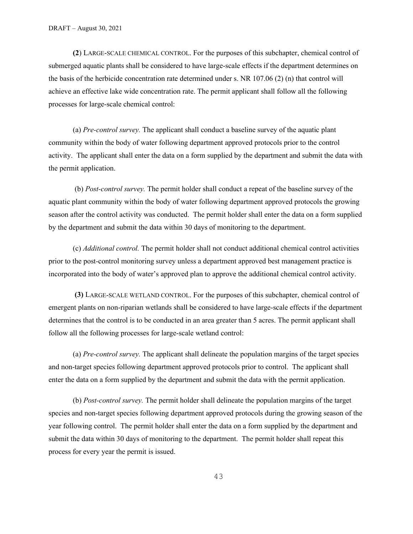**(2**) LARGE-SCALE CHEMICAL CONTROL. For the purposes of this subchapter, chemical control of submerged aquatic plants shall be considered to have large-scale effects if the department determines on the basis of the herbicide concentration rate determined under s. NR 107.06 (2) (n) that control will achieve an effective lake wide concentration rate. The permit applicant shall follow all the following processes for large-scale chemical control:

(a) *Pre-control survey.* The applicant shall conduct a baseline survey of the aquatic plant community within the body of water following department approved protocols prior to the control activity. The applicant shall enter the data on a form supplied by the department and submit the data with the permit application.

(b) *Post-control survey.* The permit holder shall conduct a repeat of the baseline survey of the aquatic plant community within the body of water following department approved protocols the growing season after the control activity was conducted. The permit holder shall enter the data on a form supplied by the department and submit the data within 30 days of monitoring to the department.

(c) *Additional control.* The permit holder shall not conduct additional chemical control activities prior to the post-control monitoring survey unless a department approved best management practice is incorporated into the body of water's approved plan to approve the additional chemical control activity.

**(3)** LARGE-SCALE WETLAND CONTROL. For the purposes of this subchapter, chemical control of emergent plants on non-riparian wetlands shall be considered to have large-scale effects if the department determines that the control is to be conducted in an area greater than 5 acres. The permit applicant shall follow all the following processes for large-scale wetland control:

(a) *Pre-control survey.* The applicant shall delineate the population margins of the target species and non-target species following department approved protocols prior to control. The applicant shall enter the data on a form supplied by the department and submit the data with the permit application.

(b) *Post-control survey.* The permit holder shall delineate the population margins of the target species and non-target species following department approved protocols during the growing season of the year following control. The permit holder shall enter the data on a form supplied by the department and submit the data within 30 days of monitoring to the department. The permit holder shall repeat this process for every year the permit is issued.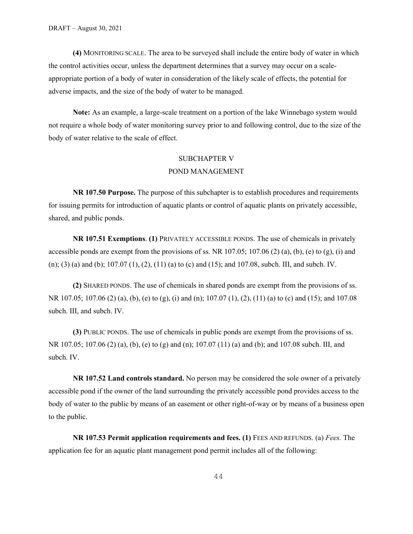**(4)** MONITORING SCALE. The area to be surveyed shall include the entire body of water in which the control activities occur, unless the department determines that a survey may occur on a scaleappropriate portion of a body of water in consideration of the likely scale of effects, the potential for adverse impacts, and the size of the body of water to be managed.

**Note:** As an example, a large-scale treatment on a portion of the lake Winnebago system would not require a whole body of water monitoring survey prior to and following control, due to the size of the body of water relative to the scale of effect.

## SUBCHAPTER V POND MANAGEMENT

**NR 107.50 Purpose.** The purpose of this subchapter is to establish procedures and requirements for issuing permits for introduction of aquatic plants or control of aquatic plants on privately accessible, shared, and public ponds.

**NR 107.51 Exemptions**. **(1)** PRIVATELY ACCESSIBLE PONDS. The use of chemicals in privately accessible ponds are exempt from the provisions of ss. NR 107.05; 107.06 (2) (a), (b), (e) to (g), (i) and (n); (3) (a) and (b); 107.07 (1), (2), (11) (a) to (c) and (15); and 107.08, subch. III, and subch. IV.

**(2)** SHARED PONDS. The use of chemicals in shared ponds are exempt from the provisions of ss. NR 107.05; 107.06 (2) (a), (b), (e) to (g), (i) and (n); 107.07 (1), (2), (11) (a) to (c) and (15); and 107.08 subch. III, and subch. IV.

**(3)** PUBLIC PONDS. The use of chemicals in public ponds are exempt from the provisions of ss. NR 107.05; 107.06 (2) (a), (b), (e) to (g) and (n); 107.07 (11) (a) and (b); and 107.08 subch. III, and subch. IV.

**NR 107.52 Land controls standard.** No person may be considered the sole owner of a privately accessible pond if the owner of the land surrounding the privately accessible pond provides access to the body of water to the public by means of an easement or other right-of-way or by means of a business open to the public.

**NR 107.53 Permit application requirements and fees. (1)** FEES AND REFUNDS. (a) *Fees.* The application fee for an aquatic plant management pond permit includes all of the following: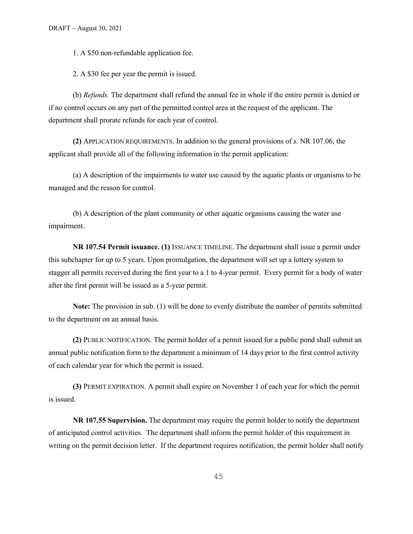1. A \$50 non-refundable application fee.

2. A \$30 fee per year the permit is issued.

(b) *Refunds.* The department shall refund the annual fee in whole if the entire permit is denied or if no control occurs on any part of the permitted control area at the request of the applicant. The department shall prorate refunds for each year of control.

**(2)** APPLICATION REQUIREMENTS. In addition to the general provisions of s. NR 107.06, the applicant shall provide all of the following information in the permit application:

(a) A description of the impairments to water use caused by the aquatic plants or organisms to be managed and the reason for control.

(b) A description of the plant community or other aquatic organisms causing the water use impairment.

**NR 107.54 Permit issuance. (1)** ISSUANCE TIMELINE. The department shall issue a permit under this subchapter for up to 5 years. Upon promulgation, the department will set up a lottery system to stagger all permits received during the first year to a 1 to 4-year permit. Every permit for a body of water after the first permit will be issued as a 5-year permit.

**Note:** The provision in sub. (1) will be done to evenly distribute the number of permits submitted to the department on an annual basis.

**(2)** PUBLIC NOTIFICATION. The permit holder of a permit issued for a public pond shall submit an annual public notification form to the department a minimum of 14 days prior to the first control activity of each calendar year for which the permit is issued.

**(3)** PERMIT EXPIRATION. A permit shall expire on November 1 of each year for which the permit is issued.

**NR 107.55 Supervision.** The department may require the permit holder to notify the department of anticipated control activities. The department shall inform the permit holder of this requirement in writing on the permit decision letter. If the department requires notification, the permit holder shall notify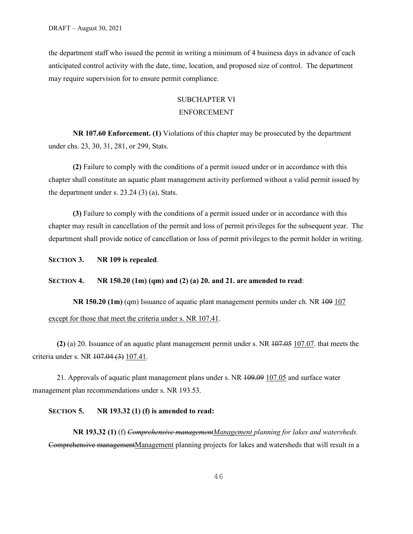the department staff who issued the permit in writing a minimum of 4 business days in advance of each anticipated control activity with the date, time, location, and proposed size of control. The department may require supervision for to ensure permit compliance.

# SUBCHAPTER VI ENFORCEMENT

**NR 107.60 Enforcement. (1)** Violations of this chapter may be prosecuted by the department under chs. 23, 30, 31, 281, or 299, Stats.

**(2)** Failure to comply with the conditions of a permit issued under or in accordance with this chapter shall constitute an aquatic plant management activity performed without a valid permit issued by the department under s. 23.24 (3) (a), Stats.

**(3)** Failure to comply with the conditions of a permit issued under or in accordance with this chapter may result in cancellation of the permit and loss of permit privileges for the subsequent year. The department shall provide notice of cancellation or loss of permit privileges to the permit holder in writing.

**SECTION 3. NR 109 is repealed**.

#### **SECTION 4. NR 150.20 (1m) (qm) and (2) (a) 20. and 21. are amended to read**:

**NR 150.20 (1m)** (qm) Issuance of aquatic plant management permits under ch. NR  $\overline{199}$  107 except for those that meet the criteria under s. NR 107.41.

**(2)** (a) 20. Issuance of an aquatic plant management permit under s. NR 107.05 107.07. that meets the criteria under s. NR 107.04 (3) 107.41.

21. Approvals of aquatic plant management plans under s. NR 109.09 107.05 and surface water management plan recommendations under s. NR 193.53.

#### **SECTION 5. NR 193.32 (1) (f) is amended to read:**

**NR 193.32 (1)** (f) *Comprehensive managementManagement planning for lakes and watersheds.* Comprehensive managementManagement planning projects for lakes and watersheds that will result in a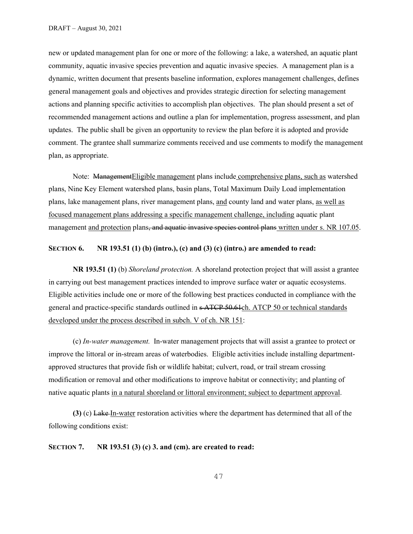new or updated management plan for one or more of the following: a lake, a watershed, an aquatic plant community, aquatic invasive species prevention and aquatic invasive species. A management plan is a dynamic, written document that presents baseline information, explores management challenges, defines general management goals and objectives and provides strategic direction for selecting management actions and planning specific activities to accomplish plan objectives. The plan should present a set of recommended management actions and outline a plan for implementation, progress assessment, and plan updates. The public shall be given an opportunity to review the plan before it is adopted and provide comment. The grantee shall summarize comments received and use comments to modify the management plan, as appropriate.

Note: ManagementEligible management plans include comprehensive plans, such as watershed plans, Nine Key Element watershed plans, basin plans, Total Maximum Daily Load implementation plans, lake management plans, river management plans, and county land and water plans, as well as focused management plans addressing a specific management challenge, including aquatic plant management and protection plans, and aquatic invasive species control plans written under s. NR 107.05.

### **SECTION 6. NR 193.51 (1) (b) (intro.), (c) and (3) (c) (intro.) are amended to read:**

**NR 193.51 (1)** (b) *Shoreland protection.* A shoreland protection project that will assist a grantee in carrying out best management practices intended to improve surface water or aquatic ecosystems. Eligible activities include one or more of the following best practices conducted in compliance with the general and practice-specific standards outlined in s ATCP 50.61ch. ATCP 50 or technical standards developed under the process described in subch. V of ch. NR 151:

(c) *In-water management.* In-water management projects that will assist a grantee to protect or improve the littoral or in-stream areas of waterbodies. Eligible activities include installing departmentapproved structures that provide fish or wildlife habitat; culvert, road, or trail stream crossing modification or removal and other modifications to improve habitat or connectivity; and planting of native aquatic plants in a natural shoreland or littoral environment; subject to department approval.

**(3)** (c) Lake In-water restoration activities where the department has determined that all of the following conditions exist:

**SECTION 7. NR 193.51 (3) (c) 3. and (cm). are created to read:**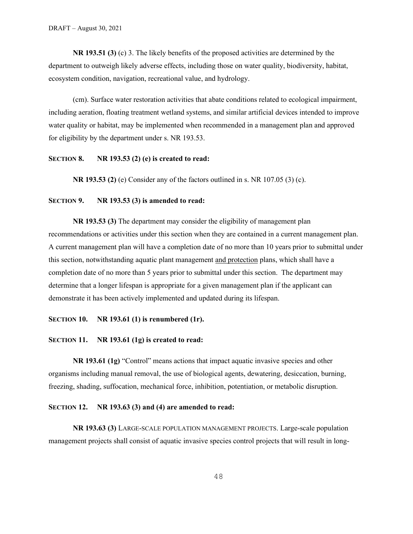**NR 193.51 (3)** (c) 3. The likely benefits of the proposed activities are determined by the department to outweigh likely adverse effects, including those on water quality, biodiversity, habitat, ecosystem condition, navigation, recreational value, and hydrology.

(cm). Surface water restoration activities that abate conditions related to ecological impairment, including aeration, floating treatment wetland systems, and similar artificial devices intended to improve water quality or habitat, may be implemented when recommended in a management plan and approved for eligibility by the department under s. NR 193.53.

## **SECTION 8. NR 193.53 (2) (e) is created to read:**

**NR 193.53 (2)** (e) Consider any of the factors outlined in s. NR 107.05 (3) (c).

## **SECTION 9. NR 193.53 (3) is amended to read:**

**NR 193.53 (3)** The department may consider the eligibility of management plan recommendations or activities under this section when they are contained in a current management plan. A current management plan will have a completion date of no more than 10 years prior to submittal under this section, notwithstanding aquatic plant management and protection plans, which shall have a completion date of no more than 5 years prior to submittal under this section. The department may determine that a longer lifespan is appropriate for a given management plan if the applicant can demonstrate it has been actively implemented and updated during its lifespan.

### **SECTION 10. NR 193.61 (1) is renumbered (1r).**

#### **SECTION 11. NR 193.61 (1g) is created to read:**

**NR 193.61 (1g)** "Control" means actions that impact aquatic invasive species and other organisms including manual removal, the use of biological agents, dewatering, desiccation, burning, freezing, shading, suffocation, mechanical force, inhibition, potentiation, or metabolic disruption.

#### **SECTION 12. NR 193.63 (3) and (4) are amended to read:**

**NR 193.63 (3)** LARGE-SCALE POPULATION MANAGEMENT PROJECTS. Large-scale population management projects shall consist of aquatic invasive species control projects that will result in long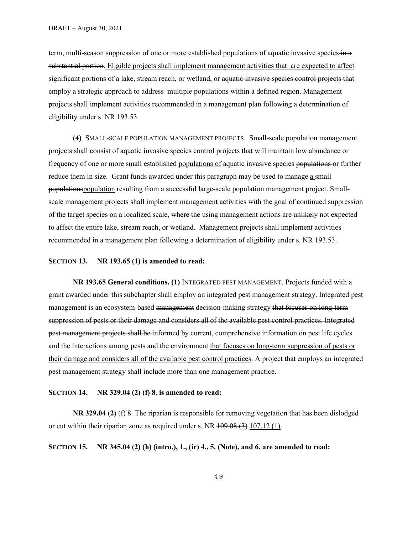term, multi-season suppression of one or more established populations of aquatic invasive species in a substantial portion. Eligible projects shall implement management activities that are expected to affect significant portions of a lake, stream reach, or wetland, or aquatic invasive species control projects that employ a strategic approach to address multiple populations within a defined region. Management projects shall implement activities recommended in a management plan following a determination of eligibility under s. NR 193.53.

**(4)** SMALL-SCALE POPULATION MANAGEMENT PROJECTS. Small-scale population management projects shall consist of aquatic invasive species control projects that will maintain low abundance or frequency of one or more small established populations of aquatic invasive species populations or further reduce them in size. Grant funds awarded under this paragraph may be used to manage a small populationspopulation resulting from a successful large-scale population management project. Smallscale management projects shall implement management activities with the goal of continued suppression of the target species on a localized scale, where the using management actions are unlikely not expected to affect the entire lake, stream reach, or wetland. Management projects shall implement activities recommended in a management plan following a determination of eligibility under s. NR 193.53.

#### **SECTION 13. NR 193.65 (1) is amended to read:**

**NR 193.65 General conditions. (1)** INTEGRATED PEST MANAGEMENT. Projects funded with a grant awarded under this subchapter shall employ an integrated pest management strategy. Integrated pest management is an ecosystem-based management decision-making strategy that focuses on long-term suppression of pests or their damage and considers all of the available pest control practices. Integrated pest management projects shall be informed by current, comprehensive information on pest life cycles and the interactions among pests and the environment that focuses on long-term suppression of pests or their damage and considers all of the available pest control practices. A project that employs an integrated pest management strategy shall include more than one management practice.

#### **SECTION 14. NR 329.04 (2) (f) 8. is amended to read:**

**NR 329.04 (2)** (f) 8. The riparian is responsible for removing vegetation that has been dislodged or cut within their riparian zone as required under s. NR  $109.08(3) 107.12(1)$ .

**SECTION 15. NR 345.04 (2) (h) (intro.), 1., (ir) 4., 5. (Note), and 6. are amended to read:**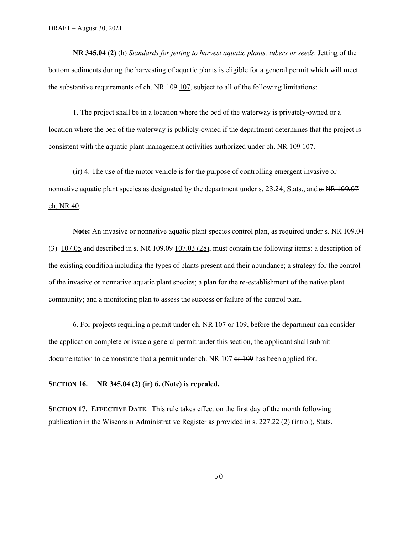**NR 345.04 (2)** (h) *Standards for jetting to harvest aquatic plants, tubers or seeds*. Jetting of the bottom sediments during the harvesting of aquatic plants is eligible for a general permit which will meet the substantive requirements of ch. NR  $109$  107, subject to all of the following limitations:

1. The project shall be in a location where the bed of the waterway is privately-owned or a location where the bed of the waterway is publicly-owned if the department determines that the project is consistent with the aquatic plant management activities authorized under ch. NR 109 107.

(ir) 4. The use of the motor vehicle is for the purpose of controlling emergent invasive or nonnative aquatic plant species as designated by the department under s. 23.24, Stats., and  $\epsilon$ . NR 109.07 ch. NR 40.

**Note:** An invasive or nonnative aquatic plant species control plan, as required under s. NR  $109.04$ (3) 107.05 and described in s. NR 109.09 107.03 (28), must contain the following items: a description of the existing condition including the types of plants present and their abundance; a strategy for the control of the invasive or nonnative aquatic plant species; a plan for the re-establishment of the native plant community; and a monitoring plan to assess the success or failure of the control plan.

6. For projects requiring a permit under ch. NR  $107$  or  $109$ , before the department can consider the application complete or issue a general permit under this section, the applicant shall submit documentation to demonstrate that a permit under ch. NR 107 or 109 has been applied for.

**SECTION 16. NR 345.04 (2) (ir) 6. (Note) is repealed.**

**SECTION 17. EFFECTIVE DATE**. This rule takes effect on the first day of the month following publication in the Wisconsin Administrative Register as provided in s. 227.22 (2) (intro.), Stats.